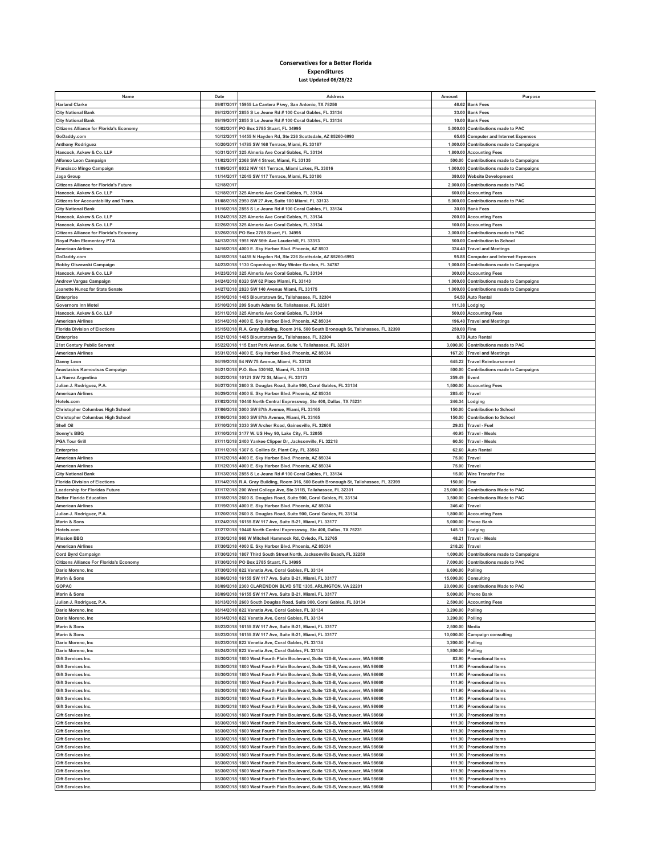## **Conservatives for a Better Florida Expenditures Last Updated 06/28/22**

| Name                                           | Date       | Address                                                                               | Amount      | Purpose                                  |
|------------------------------------------------|------------|---------------------------------------------------------------------------------------|-------------|------------------------------------------|
| <b>Harland Clarke</b>                          |            | 09/07/2017 15955 La Cantera Pkwy, San Antonio, TX 78256                               |             | 46.62 Bank Fees                          |
| <b>City National Bank</b>                      |            | 09/12/2017 2855 S Le Jeune Rd # 100 Coral Gables, FL 33134                            |             | 33.00 Bank Fees                          |
| <b>City National Bank</b>                      | 09/19/2017 | 2855 S Le Jeune Rd # 100 Coral Gables, FL 33134                                       | 10.00       | <b>Bank Fees</b>                         |
| <b>Citizens Alliance for Florida's Economy</b> |            | 10/02/2017 PO Box 2785 Stuart, FL 34995                                               |             | 5,000.00 Contributions made to PAC       |
| GoDaddy.com                                    | 10/12/2017 | 14455 N Hayden Rd, Ste 226 Scottsdale, AZ 85260-6993                                  | 65.65       | <b>Computer and Internet Expenses</b>    |
| <b>Anthony Rodriguez</b>                       | 10/20/2017 | 14785 SW 168 Terrace, Miami, FL 33187                                                 |             | 1,000.00 Contributions made to Campaigns |
| Hancock, Askew & Co. LLP                       | 10/31/201  | 325 Almeria Ave Coral Gables, FL 33134                                                | 1,800.00    | <b>Accounting Fees</b>                   |
|                                                |            |                                                                                       |             |                                          |
| Alfonso Leon Campaign                          | 11/02/2017 | 2368 SW 4 Street, Miami, FL 33135                                                     | 500.00      | <b>Contributions made to Campaigns</b>   |
| Francisco Mingo Campaign                       | 11/09/2017 | 8032 NW 161 Terrace, Miami Lakes, FL 33016                                            | 1,000.00    | <b>Contributions made to Campaigns</b>   |
| Jaga Group                                     | 11/14/2017 | 12045 SW 117 Terrace, Miami, FL 33186                                                 | 380.00      | <b>Website Development</b>               |
| <b>Citizens Alliance for Florida's Future</b>  | 12/18/201  |                                                                                       | 2,000.00    | <b>Contributions made to PAC</b>         |
| Hancock, Askew & Co. LLP                       | 12/18/2017 | 325 Almeria Ave Coral Gables, FL 33134                                                | 600.00      | <b>Accounting Fees</b>                   |
| <b>Citizens for Accountability and Trans.</b>  | 01/08/2018 | 2950 SW 27 Ave, Suite 100 Miami, FL 33133                                             | 5,000.00    | <b>Contributions made to PAC</b>         |
| <b>City National Bank</b>                      | 01/16/2018 | 2855 S Le Jeune Rd # 100 Coral Gables, FL 33134                                       | 30.00       | <b>Bank Fees</b>                         |
| Hancock, Askew & Co. LLP                       | 01/24/2018 | 325 Almeria Ave Coral Gables, FL 33134                                                | 200.00      | <b>Accounting Fees</b>                   |
| Hancock, Askew & Co. LLP                       | 02/26/2018 | 325 Almeria Ave Coral Gables, FL 33134                                                |             | 100.00 Accounting Fees                   |
| <b>Citizens Alliance for Florida's Economy</b> |            | 03/26/2018 PO Box 2785 Stuart, FL 34995                                               |             | 3,000.00 Contributions made to PAC       |
| <b>Roval Palm Elementary PTA</b>               | 04/13/2018 | 1951 NW 56th Ave Lauderhill, FL 33313                                                 | 500.00      | <b>Contribution to School</b>            |
| <b>American Airlines</b>                       | 04/16/2018 | 4000 E. Sky Harbor Blvd. Phoenix, AZ 8503                                             |             | 324.40 Travel and Meetings               |
| GoDaddy.com                                    | 04/18/2018 | 14455 N Hayden Rd, Ste 226 Scottsdale, AZ 85260-6993                                  | 95.88       | <b>Computer and Internet Expenses</b>    |
|                                                |            |                                                                                       |             |                                          |
| Bobby Olszewski Campaign                       |            | 04/23/2018 1130 Copenhagen Way Winter Garden, FL 34787                                |             | 1,000.00 Contributions made to Campaigns |
| Hancock, Askew & Co. LLP                       | 04/23/2018 | 325 Almeria Ave Coral Gables, FL 33134                                                | 300.00      | <b>Accounting Fees</b>                   |
| <b>Andrew Vargas Campaign</b>                  |            | 04/24/2018 8320 SW 62 Place Miami, FL 33143                                           |             | 1,000.00 Contributions made to Campaigns |
| Jeanette Nunez for State Senate                | 04/27/2018 | 2820 SW 140 Avenue Miami, FL 33175                                                    | 1,000.00    | <b>Contributions made to Campaigns</b>   |
| Enterprise                                     | 05/10/2018 | 1485 Blountstown St., Tallahassee, FL 32304                                           |             | 54.50 Auto Rental                        |
| Governors Inn Motel                            | 05/10/2018 | 209 South Adams St, Tallahassee, FL 32301                                             | 111.38      | Lodging                                  |
| Hancock, Askew & Co. LLP                       | 05/11/2018 | 325 Almeria Ave Coral Gables, FL 33134                                                |             | 500.00 Accounting Fees                   |
| <b>American Airlines</b>                       | 05/14/2018 | 4000 E. Sky Harbor Blvd. Phoenix, AZ 85034                                            | 196.40      | <b>Travel and Meetings</b>               |
| <b>Florida Division of Elections</b>           |            | 05/15/2018 R.A. Gray Building, Room 316, 500 South Bronough St, Tallahassee, FL 32399 | 250.00 Fine |                                          |
| Enterprise                                     | 05/21/2018 | 1485 Blountstown St., Tallahassee, FL 32304                                           | 8.70        | <b>Auto Rental</b>                       |
| 21st Century Public Servant                    |            | 05/22/2018 115 East Park Avenue, Suite 1, Tallahassee, FL 32301                       | 3,000.00    | <b>Contributions made to PAC</b>         |
| <b>American Airlines</b>                       | 05/31/2018 | 4000 E. Sky Harbor Blvd. Phoenix, AZ 85034                                            | 167.20      | <b>Travel and Meetings</b>               |
|                                                |            | 06/19/2018 54 NW 75 Avenue, Miami, FL 33126                                           | 645.22      | <b>Travel Reimbursement</b>              |
| Danny Leon                                     |            |                                                                                       |             |                                          |
| Anastasios Kamoutsas Campaign                  | 06/21/2018 | P.O. Box 530162, Miami, FL 33153                                                      | 500.00      | <b>Contributions made to Campaigns</b>   |
| La Nueva Argentina                             | 06/22/2018 | 10121 SW 72 St, Miami, FL 33173                                                       | 259.49      | Event                                    |
| Julian J. Rodriguez, P.A.                      | 06/27/2018 | 2600 S. Douglas Road, Suite 900, Coral Gables, FL 33134                               | 1,500.00    | <b>Accounting Fees</b>                   |
| American Airlines                              | 06/29/2018 | 4000 E. Sky Harbor Blvd. Phoenix, AZ 85034                                            | 285.40      | Travel                                   |
| Hotels.com                                     | 07/02/2018 | 10440 North Central Expressway, Ste 400, Dallas, TX 75231                             | 246.34      | odging                                   |
| <b>Christopher Columbus High School</b>        | 07/06/2018 | 3000 SW 87th Avenue, Miami, FL 33165                                                  | 150.00      | <b>Contribution to School</b>            |
| <b>Christopher Columbus High School</b>        | 07/06/2018 | 3000 SW 87th Avenue, Miami, FL 33165                                                  | 150.00      | <b>Contribution to School</b>            |
| Shell Oil                                      | 07/10/2018 | 3330 SW Archer Road, Gainesville, FL 32608                                            | 29.03       | Travel - Fuel                            |
| Sonny's BBQ                                    |            | 07/10/2018 3177 W. US Hwy 90, Lake City, FL 32055                                     | 40.95       | <b>Travel - Meals</b>                    |
| <b>PGA Tour Grill</b>                          | 07/11/2018 | 2400 Yankee Clipper Dr, Jacksonville, FL 32218                                        | 60.50       | <b>Travel - Meals</b>                    |
|                                                |            |                                                                                       |             |                                          |
| Enterprise                                     | 07/11/2018 | 1307 S. Collins St, Plant City, FL 33563                                              | 62.60       | <b>Auto Rental</b>                       |
| <b>American Airlines</b>                       | 07/12/2018 | 4000 E. Sky Harbor Blvd. Phoenix, AZ 85034                                            | 75.00       | Travel                                   |
| <b>American Airlines</b>                       |            | 07/12/2018 4000 E. Sky Harbor Blvd. Phoenix, AZ 85034                                 | 75.00       | Travel                                   |
| <b>City National Bank</b>                      | 07/13/2018 | 2855 S Le Jeune Rd # 100 Coral Gables, FL 33134                                       | 15.00       | Wire Transfer Fee                        |
| <b>Florida Division of Elections</b>           |            | 07/14/2018 R.A. Gray Building, Room 316, 500 South Bronough St, Tallahassee, FL 32399 | 150.00      | Fine                                     |
| Leadership for Floridas Future                 | 07/17/2018 | 200 West College Ave, Ste 311B, Tallahassee, FL 32301                                 | 25,000.00   | <b>Contributions Made to PAC</b>         |
| <b>Better Florida Education</b>                |            | 07/18/2018 2600 S. Douglas Road, Suite 900, Coral Gables, FL 33134                    | 3,500.00    | <b>Contributions Made to PAC</b>         |
| <b>American Airlines</b>                       | 07/19/2018 | 4000 E. Sky Harbor Blvd. Phoenix, AZ 85034                                            | 246.40      | Travel                                   |
| Julian J. Rodriguez, P.A.                      | 07/20/2018 | 2600 S. Douglas Road, Suite 900, Coral Gables, FL 33134                               | 1,800.00    | <b>Accounting Fees</b>                   |
|                                                |            |                                                                                       |             |                                          |
| Marin & Sons                                   | 07/24/2018 | 16155 SW 117 Ave, Suite B-21, Miami, FL 33177                                         | 5,000.00    | <b>Phone Bank</b>                        |
| Hotels.com                                     |            | 07/27/2018 10440 North Central Expressway, Ste 400, Dallas, TX 75231                  | 145.12      | Lodging                                  |
| <b>Mission BBQ</b>                             | 07/30/2018 | 968 W Mitchell Hammock Rd, Oviedo, FL 32765                                           | 48.21       | <b>Travel - Meals</b>                    |
| <b>American Airlines</b>                       | 07/30/2018 | 4000 E. Sky Harbor Blvd. Phoenix, AZ 85034                                            | 218.20      | Travel                                   |
| Cord Byrd Campaign                             | 07/30/201  | 1807 Third South Street North, Jacksonville Beach, FL 32250                           | 1,000.00    | <b>Contributions made to Campaigns</b>   |
| <b>Citizens Alliance For Florida's Economy</b> |            | 07/30/2018 PO Box 2785 Stuart, FL 34995                                               | 7,000.00    | Contributions made to PAC                |
| Dario Moreno, Inc                              |            | 07/30/2018 822 Venetia Ave, Coral Gables, FL 33134                                    | 6,600.00    | Polling                                  |
| Marin & Sons                                   |            | 08/06/2018 16155 SW 117 Ave, Suite B-21, Miami, FL 33177                              |             | 15,000.00 Consulting                     |
| GOPAC                                          | 08/09/2018 | 2300 CLARENDON BLVD STE 1305, ARLINGTON, VA 22201                                     | 20,000.00   | <b>Contributions Made to PAC</b>         |
| Marin & Sons                                   |            | 08/09/2018 16155 SW 117 Ave, Suite B-21, Miami, FL 33177                              | 5,000.00    | <b>Phone Bank</b>                        |
| Julian J. Rodriguez, P.A.                      | 08/13/2018 | 2600 South Douglas Road, Suite 900, Coral Gables, FL 33134                            | 2,500.00    | <b>Accounting Fees</b>                   |
| Dario Moreno, Inc                              |            | 08/14/2018 822 Venetia Ave, Coral Gables, FL 33134                                    | 3,200.00    |                                          |
|                                                |            |                                                                                       |             | Polling                                  |
| Dario Moreno, Inc                              | 08/14/2018 | 822 Venetia Ave, Coral Gables, FL 33134                                               | 3,200.00    | <b>Polling</b>                           |
| Marin & Sons                                   | 08/23/2018 | 16155 SW 117 Ave, Suite B-21, Miami, FL 33177                                         | 2,500.00    | Media                                    |
| Marin & Sons                                   | 08/23/2018 | 16155 SW 117 Ave, Suite B-21, Miami, FL 33177                                         | 10,000.00   | Campaign consulting                      |
| Dario Moreno, Inc                              | 08/23/2018 | 822 Venetia Ave, Coral Gables, FL 33134                                               | 3,200.00    | Polling                                  |
| Dario Moreno, Inc                              | 08/24/2018 | 822 Venetia Ave, Coral Gables, FL 33134                                               | 1,800.00    | Polling                                  |
| Gift Services Inc.                             | 08/30/2018 | 1800 West Fourth Plain Boulevard, Suite 120-B, Vancouver, WA 98660                    | 82.90       | <b>Promotional Items</b>                 |
| Gift Services Inc.                             | 08/30/2018 | 1800 West Fourth Plain Boulevard, Suite 120-B, Vancouver, WA 98660                    | 111.90      | <b>Promotional Items</b>                 |
| Gift Services Inc.                             | 08/30/2018 | 1800 West Fourth Plain Boulevard, Suite 120-B, Vancouver, WA 98660                    | 111.90      | <b>Promotional Items</b>                 |
| Gift Services Inc.                             | 08/30/2018 | 1800 West Fourth Plain Boulevard, Suite 120-B, Vancouver, WA 98660                    | 111.90      | <b>Promotional Items</b>                 |
| Gift Services Inc.                             | 08/30/2018 | 1800 West Fourth Plain Boulevard, Suite 120-B, Vancouver, WA 98660                    | 111.90      | <b>Promotional Items</b>                 |
| Gift Services Inc.                             | 08/30/2018 | 1800 West Fourth Plain Boulevard, Suite 120-B, Vancouver, WA 98660                    | 111.90      | <b>Promotional Items</b>                 |
|                                                | 08/30/2018 | 1800 West Fourth Plain Boulevard, Suite 120-B, Vancouver, WA 98660                    |             |                                          |
| Gift Services Inc.                             |            |                                                                                       | 111.90      | <b>Promotional Items</b>                 |
| Gift Services Inc.                             | 08/30/2018 | 1800 West Fourth Plain Boulevard, Suite 120-B, Vancouver, WA 98660                    | 111.90      | <b>Promotional Items</b>                 |
| Gift Services Inc.                             | 08/30/2018 | 800 West Fourth Plain Boulevard, Suite 120-B, Vancouver, WA 98660                     | 111.90      | <b>Promotional Items</b>                 |
| Gift Services Inc.                             | 08/30/2018 | 1800 West Fourth Plain Boulevard, Suite 120-B, Vancouver, WA 98660                    | 111.90      | <b>Promotional Items</b>                 |
| Gift Services Inc.                             | 08/30/2018 | 1800 West Fourth Plain Boulevard, Suite 120-B, Vancouver, WA 98660                    | 111.90      | <b>Promotional Items</b>                 |
| Gift Services Inc.                             | 08/30/2018 | 1800 West Fourth Plain Boulevard, Suite 120-B, Vancouver, WA 98660                    |             | 111.90 Promotional Items                 |
| Gift Services Inc.                             | 08/30/2018 | 1800 West Fourth Plain Boulevard, Suite 120-B, Vancouver, WA 98660                    | 111.90      | <b>Promotional Items</b>                 |
| Gift Services Inc.                             | 08/30/2018 | 1800 West Fourth Plain Boulevard, Suite 120-B, Vancouver, WA 98660                    | 111.90      | <b>Promotional Items</b>                 |
| Gift Services Inc.                             | 08/30/2018 | 1800 West Fourth Plain Boulevard, Suite 120-B, Vancouver, WA 98660                    | 111.90      | <b>Promotional Items</b>                 |
| Gift Services Inc.                             |            | 08/30/2018 1800 West Fourth Plain Boulevard, Suite 120-B, Vancouver, WA 98660         |             | 111.90 Promotional Items                 |
| Gift Services Inc.                             | 08/30/2018 | 1800 West Fourth Plain Boulevard, Suite 120-B, Vancouver, WA 98660                    |             | 111.90 Promotional Items                 |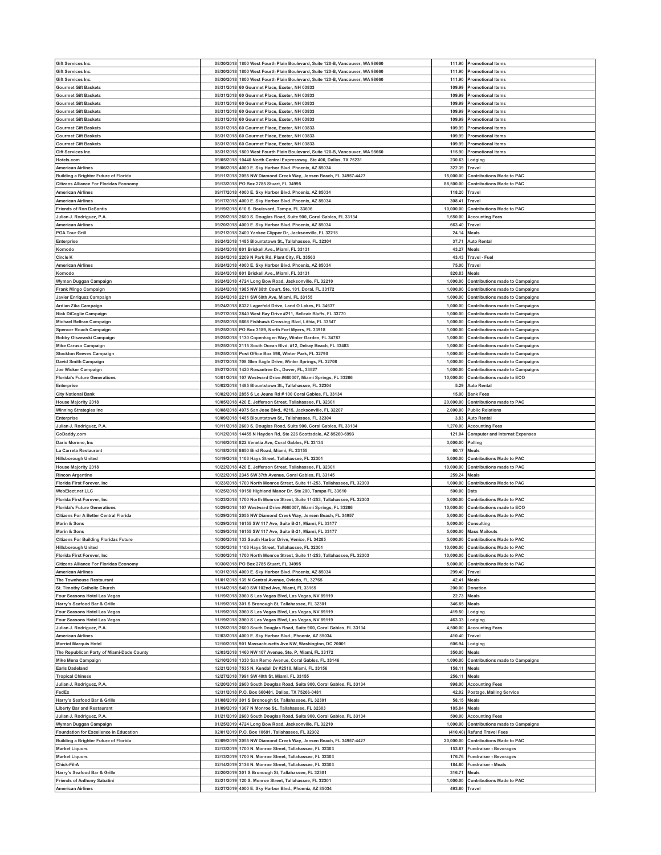| Gift Services Inc.                                             | 08/30/2018               | 1800 West Fourth Plain Boulevard, Suite 120-B, Vancouver, WA 98660                         |                           | 111.90 Promotional Items               |
|----------------------------------------------------------------|--------------------------|--------------------------------------------------------------------------------------------|---------------------------|----------------------------------------|
| <b>Gift Services Inc.</b>                                      | 08/30/2018               | 1800 West Fourth Plain Boulevard, Suite 120-B, Vancouver, WA 98660                         |                           | 111.90 Promotional Items               |
|                                                                |                          |                                                                                            |                           |                                        |
| Gift Services Inc.                                             | 08/30/2018               | 1800 West Fourth Plain Boulevard, Suite 120-B, Vancouver, WA 98660                         | 111.90                    | <b>Promotional Items</b>               |
| <b>Gourmet Gift Baskets</b>                                    | 08/31/2018               | 60 Gourmet Place, Exeter, NH 03833                                                         | 109.99                    | <b>Promotional Items</b>               |
| <b>Gourmet Gift Baskets</b>                                    | 08/31/2018               | 60 Gourmet Place, Exeter, NH 03833                                                         | 109.99                    | Promotional Items                      |
| <b>Gourmet Gift Baskets</b>                                    | 08/31/2018               | 60 Gourmet Place, Exeter, NH 03833                                                         |                           | 109.99 Promotional Items               |
| <b>Gourmet Gift Baskets</b>                                    | 08/31/201                | 60 Gourmet Place, Exeter, NH 03833                                                         | 109.99                    | <b>Promotional Items</b>               |
| <b>Gourmet Gift Baskets</b>                                    | 08/31/2018               | 60 Gourmet Place, Exeter, NH 03833                                                         |                           | 109.99 Promotional Items               |
| <b>Gourmet Gift Baskets</b>                                    |                          | 60 Gourmet Place, Exeter, NH 03833                                                         |                           |                                        |
|                                                                | 08/31/2018               |                                                                                            | 109.99                    | <b>Promotional Items</b>               |
| <b>Gourmet Gift Baskets</b>                                    | 08/31/2018               | 60 Gourmet Place, Exeter, NH 03833                                                         |                           | 109.99 Promotional Items               |
| <b>Gourmet Gift Baskets</b>                                    | 08/31/201                | 60 Gourmet Place, Exeter, NH 03833                                                         | 109.99                    | <b>Promotional Items</b>               |
| Gift Services Inc.                                             | 08/31/2018               | 1800 West Fourth Plain Boulevard, Suite 120-B, Vancouver, WA 98660                         |                           | 115.90 Promotional Items               |
| Hotels.com                                                     | 09/05/2018               | 10440 North Central Expressway, Ste 400, Dallas, TX 75231                                  | 230.63                    | .odging                                |
| American Airlines                                              | 09/06/2018               | 4000 E. Sky Harbor Blvd. Phoenix, AZ 85034                                                 | 322.39                    | Travel                                 |
| <b>Building a Brighter Future of Florida</b>                   | 09/11/201                | 2055 NW Diamond Creek Way, Jensen Beach, FL 34957-4427                                     | 15,000.00                 | Contributions Made to PAC              |
| <b>Citizens Alliance For Floridas Economy</b>                  | 09/13/2018               | PO Box 2785 Stuart, FL 34995                                                               | 88,500.00                 | <b>Contributions Made to PAC</b>       |
|                                                                |                          |                                                                                            |                           |                                        |
| <b>American Airlines</b>                                       | 09/17/2018               | 4000 E. Sky Harbor Blvd. Phoenix, AZ 85034                                                 | 118.20                    | Travel                                 |
| <b>American Airlines</b>                                       | 09/17/2018               | 4000 E. Sky Harbor Blvd. Phoenix, AZ 85034                                                 | 308.41                    | Travel                                 |
| <b>Friends of Ron DeSantis</b>                                 | 09/19/201                | 610 S. Boulevard, Tampa, FL 33606                                                          | 10,000.00                 | <b>Contributions Made to PAC</b>       |
| Julian J. Rodriguez, P.A.                                      | 09/20/2018               | 2600 S. Douglas Road, Suite 900, Coral Gables, FL 33134                                    | 1,650.00                  | <b>Accounting Fees</b>                 |
| <b>American Airlines</b>                                       | 09/20/201                | 4000 E. Sky Harbor Blvd. Phoenix, AZ 85034                                                 | 663.40                    | Travel                                 |
| <b>PGA Tour Grill</b>                                          | 09/21/2018               | 2400 Yankee Clipper Dr, Jacksonville, FL 32218                                             | 24.14                     | Meals                                  |
|                                                                |                          |                                                                                            |                           |                                        |
| Enterprise                                                     | 09/24/201                | 1485 Blountstown St., Tallahassee, FL 32304                                                | 37.7'                     | Auto Rental                            |
| Komodo                                                         | 09/24/2018               | 801 Brickell Ave., Miami, FL 33131                                                         | 43.27                     | Meals                                  |
| Circle K                                                       | 09/24/201                | 2209 N Park Rd, Plant City, FL 33563                                                       | 43.43                     | Travel - Fuel                          |
| <b>American Airlines</b>                                       | 09/24/2018               | 4000 E. Sky Harbor Blvd. Phoenix, AZ 85034                                                 | 75.00 Travel              |                                        |
| Komodo                                                         | 09/24/201                | 801 Brickell Ave., Miami, FL 33131                                                         | 820.83                    | Meals                                  |
|                                                                |                          |                                                                                            |                           |                                        |
| Wyman Duggan Campaign                                          | 09/24/2018               | 4724 Long Bow Road, Jacksonville, FL 32210                                                 | 1,000.00                  | <b>Contributions made to Campaigns</b> |
| Frank Mingo Campaign                                           | 09/24/2018               | 1985 NW 88th Court, Ste. 101, Doral, FL 33172                                              | 1,000.00                  | <b>Contributions made to Campaigns</b> |
| Javier Enriquez Campaign                                       | 09/24/2018               | 2211 SW 60th Ave, Miami, FL 33155                                                          | 1,000.00                  | <b>Contributions made to Campaigns</b> |
| Ardian Zika Campaign                                           | 09/24/201                | 8322 Lagerfeld Drive, Land O Lakes, FL 34637                                               | 1,000.00                  | <b>Contributions made to Campaigns</b> |
| Nick DiCeglie Campaign                                         | 09/27/2018               | 2840 West Bay Drive #211, Belleair Bluffs, FL 33770                                        | 1,000.00                  | <b>Contributions made to Campaigns</b> |
| Michael Beltran Campaign                                       | 09/25/2018               | 5668 Fishhawk Crossing Blvd, Lithia, FL 33547                                              | 1,000.00                  | Contributions made to Campaigns        |
|                                                                |                          |                                                                                            |                           |                                        |
| Spencer Roach Campaign                                         | 09/25/2018               | PO Box 3189, North Fort Myers, FL 33918                                                    | 1,000.00                  | <b>Contributions made to Campaigns</b> |
| Bobby Olszewski Campaign                                       | 09/25/201                | 1130 Copenhagen Way, Winter Garden, FL 34787                                               | 1,000.00                  | Contributions made to Campaigns        |
| Mike Caruso Campaign                                           | 09/25/2018               | 2115 South Ocean Blvd, #12, Delray Beach, FL 33483                                         | 1,000.00                  | <b>Contributions made to Campaigns</b> |
| <b>Stockton Reeves Campaign</b>                                | 09/25/2018               | Post Office Box 598, Winter Park, FL 32790                                                 | 1,000.00                  | <b>Contributions made to Campaigns</b> |
| <b>David Smith Campaign</b>                                    | 09/27/2018               | 708 Glen Eagle Drive, Winter Springs, FL 32708                                             | 1,000.00                  | <b>Contributions made to Campaigns</b> |
| Joe Wicker Campaigr                                            | 09/27/2018               | 1420 Rowantree Dr., Dover, FL, 33527                                                       | 1.000.00                  | <b>Contributions made to Campaigns</b> |
| <b>Florida's Future Generations</b>                            | 10/01/2018               | 107 Westward Drive #660307, Miami Springs, FL 33266                                        | 10,000.00                 | Contributions made to ECO              |
|                                                                |                          |                                                                                            |                           |                                        |
| Enterprise                                                     | 10/02/2018               | 1485 Blountstown St., Tallahassee, FL 32304                                                | 5.29                      | <b>Auto Rental</b>                     |
| <b>City National Bank</b>                                      | 10/02/2018               | 2855 S Le Jeune Rd # 100 Coral Gables, FL 33134                                            | 15.00                     | <b>Bank Fees</b>                       |
| <b>House Majority 2018</b>                                     | 10/05/2018               | 420 E. Jefferson Street, Tallahassee, FL 32301                                             | 20,000.00                 | <b>Contributions made to PAC</b>       |
| <b>Winning Strategies Inc.</b>                                 | 10/08/2018               | 4975 San Jose Blvd., #215, Jacksonville, FL 32207                                          | 2,000.00                  | <b>Public Relations</b>                |
| Enterprise                                                     | 10/09/2018               | 1485 Blountstown St., Tallahassee, FL 32304                                                | 3.83                      | <b>Auto Rental</b>                     |
| Julian J. Rodriguez, P.A.                                      | 10/11/2018               | 2600 S. Douglas Road, Suite 900, Coral Gables, FL 33134                                    | 1,270.00                  | <b>Accounting Fees</b>                 |
|                                                                |                          |                                                                                            |                           |                                        |
| GoDaddy.com                                                    | 10/12/2018               | 14455 N Hayden Rd, Ste 226 Scottsdale, AZ 85260-6993                                       | 121.04                    | <b>Computer and Internet Expenses</b>  |
| Dario Moreno, Inc.                                             | 10/16/2018               | 822 Venetia Ave, Coral Gables, FL 33134                                                    | 3,000.00                  | Polling                                |
| La Carreta Restaurant                                          | 10/18/2018               | 8650 Bird Road, Miami, FL 33155                                                            | 60.17                     | Meals                                  |
| <b>Hillsborough United</b>                                     | 10/19/2018               | 1103 Hays Street, Tallahassee, FL 32301                                                    | 5,000.00                  | <b>Contributions Made to PAC</b>       |
| <b>House Majority 2018</b>                                     | 10/22/201                | 420 E. Jefferson Street, Tallahassee, FL 32301                                             | 10,000,00                 | Contributions made to PAC              |
| <b>Rincon Argentino</b>                                        | 10/22/2018               | 2345 SW 37th Avenue, Coral Gables, FL 33145                                                | 259.24                    | Meals                                  |
|                                                                |                          |                                                                                            |                           |                                        |
| Florida First Forever, Inc                                     | 10/23/2018               | 1700 North Monroe Street, Suite 11-253, Tallahassee, FL 32303                              | 1.000.00                  | <b>Contributions Made to PAC</b>       |
| <b>WebElect.net LLC</b>                                        | 10/25/2018               | 10150 Highland Manor Dr. Ste 200, Tampa FL 33610                                           | 500.00 Data               |                                        |
| Florida First Forever, Inc                                     | 10/23/201                | 1700 North Monroe Street, Suite 11-253, Tallahassee, FL 32303                              | 5,000.00                  | Contributions Made to PAC              |
| <b>Florida's Future Generations</b>                            | 10/29/2018               | 107 Westward Drive #660307, Miami Springs, FL 33266                                        | 10,000.00                 | Contributions made to ECO              |
| <b>Citizens For A Better Central Florida</b>                   | 10/29/2018               | 2055 NW Diamond Creek Way, Jensen Beach, FL 34957                                          | 5,000.00                  | <b>Contributions Made to PAC</b>       |
| Marin & Sons                                                   | 10/29/2018               | 16155 SW 117 Ave, Suite B-21, Miami, FL 33177                                              | 5,000.00                  | Consulting                             |
| <b>Marin &amp; Sons</b>                                        | 10/29/2018               |                                                                                            |                           | 5,000.00 Mass Mailouts                 |
|                                                                |                          | 16155 SW 117 Ave, Suite B-21, Miami, FL 33177                                              |                           |                                        |
| <b>Citizens For Building Floridas Future</b>                   |                          | 10/30/2018 133 South Harbor Drive, Venice, FL 34285                                        |                           |                                        |
| <b>Hillsborough United</b>                                     |                          |                                                                                            |                           | 5,000.00 Contributions Made to PAC     |
|                                                                |                          | 10/30/2018 1103 Hays Street, Tallahassee, FL 32301                                         |                           | 10,000.00 Contributions Made to PAC    |
| Florida First Forever, Inc.                                    | 10/30/2018               | 1700 North Monroe Street, Suite 11-253, Tallahassee, FL 32303                              | 10,000.00                 | <b>Contributions Made to PAC</b>       |
| <b>Citizens Alliance For Floridas Economy</b>                  | 10/30/2018               | PO Box 2785 Stuart, FL 34995                                                               |                           | 5,000.00 Contributions Made to PAC     |
| <b>American Airlines</b>                                       | 10/31/2018               | 4000 E. Sky Harbor Blvd. Phoenix, AZ 85034                                                 | 299.40                    | Travel                                 |
|                                                                | 11/01/2018               |                                                                                            |                           |                                        |
| The Townhouse Restaurant                                       |                          | 139 N Central Avenue, Oviedo, FL 32765                                                     | 42.41                     | Meals                                  |
| St. Timothy Catholic Church                                    | 11/14/2018               | 5400 SW 102nd Ave, Miami, FL 33165                                                         | 200.00                    | Donation                               |
| Four Seasons Hotel Las Vegas                                   | 11/19/2018               | 3960 S Las Vegas Blvd, Las Vegas, NV 89119                                                 | 22.73                     | Meals                                  |
| Harry's Seafood Bar & Grille                                   | 11/19/2018               | 301 S Bronough St, Tallahassee, FL 32301                                                   | 346.85                    | Meals                                  |
| Four Seasons Hotel Las Vegas                                   | 11/19/2018               | 3960 S Las Vegas Blvd, Las Vegas, NV 89119                                                 | 419.50                    | .odging                                |
| Four Seasons Hotel Las Vegas                                   | 11/19/2018               | 3960 S Las Vegas Blvd, Las Vegas, NV 89119                                                 | 463.33                    | .odging                                |
| Julian J. Rodriguez, P.A.                                      | 11/26/2018               | 2600 South Douglas Road, Suite 900, Coral Gables, FL 33134                                 |                           | 4,500.00 Accounting Fees               |
| <b>American Airlines</b>                                       | 12/03/201                | 4000 E. Sky Harbor Blvd., Phoeniz, AZ 85034                                                | 410.40                    | Travel                                 |
|                                                                |                          | 901 Massachusetts Ave NW, Washington, DC 20001                                             |                           |                                        |
| <b>Marriot Marquis Hotel</b>                                   | 12/10/2018               |                                                                                            | 606.94                    | .odging                                |
| The Republican Party of Miami-Dade County                      | 12/03/2018               | 1460 NW 107 Avenue, Ste. P, Miami, FL 33172                                                | 350.00 Meals              |                                        |
| <b>Mike Mena Campaign</b>                                      | 12/10/2018               | 1330 San Remo Avenue, Coral Gables, FL 33146                                               | 1,000.00                  | <b>Contributions made to Campaigns</b> |
| <b>Earls Dadeland</b>                                          | 12/21/2018               | 7535 N. Kendall Dr #2510, Miami, FL 33156                                                  | 158.11                    | Meals                                  |
| <b>Tropical Chinese</b>                                        | 12/27/2018               | 7991 SW 40th St, Miami, FL 33155                                                           | 256.11 Meals              |                                        |
| Julian J. Rodriguez, P.A.                                      | 12/20/2018               | 2600 South Douglas Road, Suite 900, Coral Gables, FL 33134                                 | 998.00                    | <b>Accounting Fees</b>                 |
| FedEx                                                          | 12/31/2018               | P.O. Box 660481, Dallas, TX 75266-0481                                                     |                           | 42.02 Postage, Mailing Service         |
|                                                                | 01/08/2019               |                                                                                            | 58.15                     | Meals                                  |
| Harry's Seafood Bar & Grille                                   |                          | 301 S Bronough St, Tallahassee, FL 32301                                                   |                           |                                        |
| Liberty Bar and Restaurant                                     | 01/09/2019               | 1307 N Monroe St., Tallahassee, FL 32303                                                   | 185.84                    | Meals                                  |
| Julian J. Rodriguez, P.A                                       | 01/21/2019               | 2600 South Douglas Road, Suite 900, Coral Gables, FL 33134                                 | 500.00                    | <b>Accounting Fees</b>                 |
| Wyman Duggan Campaign                                          | 01/25/2019               | 4724 Long Bow Road, Jacksonville, FL 32210                                                 | 1,000.00                  | <b>Contributions made to Campaigns</b> |
| <b>Foundation for Excellence in Education</b>                  | 02/01/2019               | P.O. Box 10691, Tallahassee, FL 32302                                                      |                           | (410.40) Refund Travel Fees            |
| <b>Building a Brighter Future of Florida</b>                   | 02/09/2019               | 2055 NW Diamond Creek Way, Jensen Beach, FL 34957-4427                                     | 20,000.00                 | <b>Contributions Made to PAC</b>       |
| <b>Market Liquors</b>                                          | 02/13/2019               | 1700 N. Monroe Street, Tallahassee, FL 32303                                               | 153.67                    | <b>Fundraiser - Beverages</b>          |
|                                                                | 02/13/2019               | 1700 N. Monroe Street, Tallahassee, FL 32303                                               |                           |                                        |
| <b>Market Liquors</b>                                          |                          |                                                                                            |                           | 176.76 Fundraiser - Beverages          |
| Chick-Fil-A                                                    | 02/14/2019               | 2136 N. Monroe Street, Tallahassee, FL 32303                                               | 184.60                    | <b>Fundraiser - Meals</b>              |
| Harry's Seafood Bar & Grille                                   | 02/20/2019               | 301 S Bronough St, Tallahassee, FL 32301                                                   | 316.71                    | Meals                                  |
| <b>Friends of Anthony Sabatini</b><br><b>American Airlines</b> | 02/21/2019<br>02/27/2019 | 120 S. Monroe Street, Tallahassee, FL 32301<br>4000 E. Sky Harbor Blvd., Phoeniz, AZ 85034 | 1,000.00<br>493.60 Travel | <b>Contributions Made to PAC</b>       |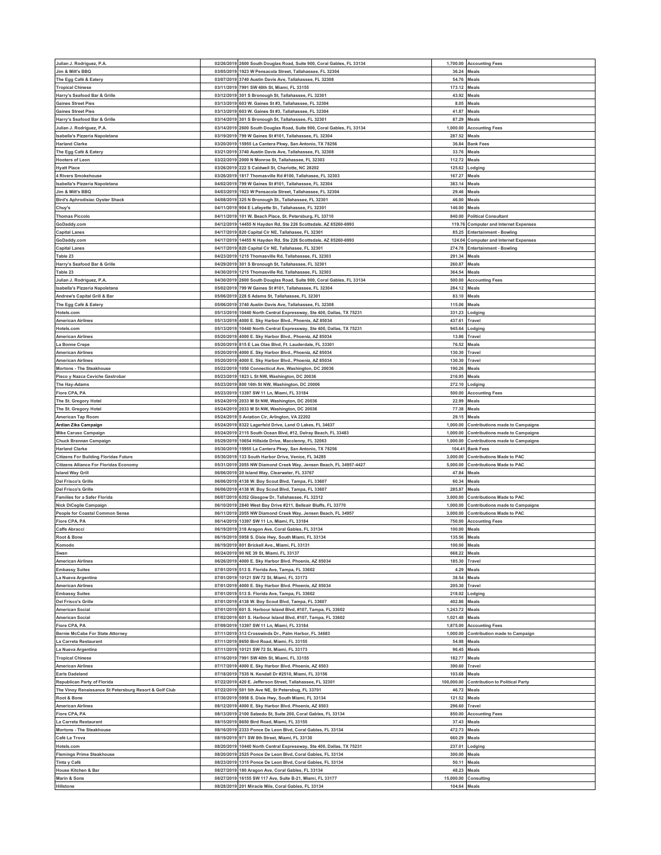| Julian J. Rodriguez, P.A.                              |            | 02/26/2019 2600 South Douglas Road, Suite 900, Coral Gables, FL 33134 |               | 1,700.00 Accounting Fees               |
|--------------------------------------------------------|------------|-----------------------------------------------------------------------|---------------|----------------------------------------|
| Jim & Milt's BBQ                                       |            | 03/05/2019 1923 W Pensacola Street, Tallahassee, FL 32304             | 36.24         | Meals                                  |
| The Egg Café & Eatery                                  |            | 03/07/2019 3740 Austin Davis Ave, Tallahassee, FL 32308               | 54.76         | Meals                                  |
| <b>Tropical Chinese</b>                                |            | 03/11/2019 7991 SW 40th St, Miami, FL 33155                           | 173.12        | <b>Meals</b>                           |
| Harry's Seafood Bar & Grille                           |            | 03/12/2019 301 S Bronough St, Tallahassee, FL 32301                   | 43.92         | <b>Meals</b>                           |
| <b>Gaines Street Pies</b>                              | 03/13/2019 | 603 W. Gaines St #3, Tallahassee, FL 32304                            | 8.05          | Meals                                  |
| <b>Gaines Street Pies</b>                              |            | 03/13/2019 603 W. Gaines St #3, Tallahassee, FL 32304                 | 41.87         | Meals                                  |
|                                                        |            |                                                                       |               |                                        |
| Harry's Seafood Bar & Grille                           |            | 03/14/2019 301 S Bronough St, Tallahassee, FL 32301                   | 87.29         | Meals                                  |
| Julian J. Rodriguez, P.A.                              |            | 03/14/2019 2600 South Douglas Road, Suite 900, Coral Gables, FL 33134 | 1,000.00      | <b>Accounting Fees</b>                 |
| Isabella's Pizzeria Napoletana                         |            | 03/19/2019 799 W Gaines St #101, Tallahassee, FL 32304                | 287.52        | Meals                                  |
| <b>Harland Clarke</b>                                  |            | 03/20/2019 15955 La Cantera Pkwy, San Antonio, TX 78256               | 36.84         | Bank Fees                              |
| The Egg Café & Eatery                                  | 03/21/2019 | 3740 Austin Davis Ave, Tallahassee, FL 32308                          | 33.76         | Meals                                  |
| <b>Hooters of Leon</b>                                 |            | 03/22/2019 2000 N Monroe St, Tallahassee, FL 32303                    | 112.72        | Meals                                  |
| <b>Hyatt Place</b>                                     | 03/26/2019 | 222 S Caldwell St, Charlotte, NC 28202                                | 125.62        | .odging                                |
| 4 Rivers Smokehouse                                    |            | 03/26/2019 1817 Thomasville Rd #100, Tallahasee, FL 32303             | 167.27        | Meals                                  |
| Isabella's Pizzeria Napoletana                         |            | 04/02/2019 799 W Gaines St #101, Tallahassee, FL 32304                | 383.14        | Meals                                  |
|                                                        |            |                                                                       |               |                                        |
| Jim & Milt's BBQ                                       |            | 04/03/2019 1923 W Pensacola Street, Tallahassee, FL 32304             | 29.46         | Meals                                  |
| <b>Bird's Aphrodisiac Oyster Shack</b>                 |            | 04/08/2019 325 N Bronough St., Tallahassee, FL 32301                  | 46.00         | Meals                                  |
| Chuy's                                                 |            | 04/11/2019 904 E Lafayette St., Tallahassee, FL 32301                 | 146.00        | Meals                                  |
| <b>Thomas Piccolo</b>                                  |            | 04/11/2019 101 W. Beach Place, St. Petersburg, FL 33710               | 840.00        | <b>Political Consultant</b>            |
| GoDaddy.com                                            |            | 04/12/2019 14455 N Hayden Rd, Ste 226 Scottsdale, AZ 85260-6993       |               | 119.76 Computer and Internet Expenses  |
| <b>Capital Lanes</b>                                   |            | 04/17/2019 820 Capital Cir NE, Tallahasee, FL 32301                   |               | 85.25 Entertainment - Bowling          |
| GoDaddy.com                                            | 04/17/2019 | 14455 N Hayden Rd, Ste 226 Scottsdale, AZ 85260-6993                  |               | 124.04 Computer and Internet Expenses  |
| <b>Capital Lanes</b>                                   |            | 04/17/2019 820 Capital Cir NE, Tallahasee, FL 32301                   | 274.78        | <b>Entertainment - Bowling</b>         |
| Table 23                                               |            | 04/23/2019 1215 Thomasville Rd, Tallahassee, FL 32303                 | 291.34        | Meals                                  |
| Harry's Seafood Bar & Grille                           |            | 04/29/2019 301 S Bronough St, Tallahassee, FL 32301                   | 260.87        | Meals                                  |
| Table 23                                               |            | 04/30/2019 1215 Thomasville Rd, Tallahassee, FL 32303                 | 364.54        | Meals                                  |
| Julian J. Rodriguez, P.A.                              |            |                                                                       |               |                                        |
|                                                        |            | 04/30/2019 2600 South Douglas Road, Suite 900, Coral Gables, FL 33134 |               | 500.00 Accounting Fees                 |
| Isabella's Pizzeria Napoletana                         |            | 05/02/2019 799 W Gaines St #101, Tallahassee, FL 32304                | 284.12        | Meals                                  |
| Andrew's Capital Grill & Bar                           |            | 05/06/2019 228 S Adams St, Tallahassee, FL 32301                      | 83.10         | Meals                                  |
| The Egg Café & Eatery                                  | 05/06/2019 | 3740 Austin Davis Ave, Tallahassee, FL 32308                          | 115.06        | Meals                                  |
| Hotels.com                                             |            | 05/13/2019 10440 North Central Expressway, Ste 400, Dallas, TX 75231  | 331.23        | Lodging                                |
| <b>American Airlines</b>                               | 05/13/2019 | 4000 E. Sky Harbor Blvd., Phoenix, AZ 85034                           | 437.61        | Travel                                 |
| Hotels.com                                             |            | 05/13/2019 10440 North Central Expressway, Ste 400, Dallas, TX 75231  | 945.64        | .odging                                |
| <b>American Airlines</b>                               | 05/20/2019 | 4000 E. Sky Harbor Blvd., Phoeniz, AZ 85034                           | 13.86         | 'ravel                                 |
| a Bonne Crepe                                          |            | 05/20/2019 815 E Las Olas Blvd, Ft. Lauderdale, FL 33301              | 76.52         | Meals                                  |
| <b>American Airlines</b>                               | 05/20/2019 | 4000 E. Sky Harbor Blvd., Phoeniz, AZ 85034                           | 130.30        | Travel                                 |
| <b>American Airlines</b>                               | 05/20/2019 | 4000 E. Sky Harbor Blvd., Phoeniz, AZ 85034                           | 130.30        | Travel                                 |
|                                                        |            |                                                                       |               |                                        |
| <b>Mortons - The Steakhouse</b>                        | 05/22/2019 | 1050 Connecticut Ave, Washington, DC 20036                            | 190.26        | Meals                                  |
| Pisco y Nazca Ceviche Gastrobar                        |            | 05/23/2019 1823 L St NW, Washington, DC 20036                         | 216.95        | <b>Meals</b>                           |
| The Hay-Adams                                          |            | 05/23/2019 800 16th St NW, Washington, DC 20006                       | 272.10        | .odging                                |
| Fiore CPA, PA                                          |            | 05/23/2019 13397 SW 11 Ln, Miami, FL 33184                            | 500.00        | <b>Accounting Fees</b>                 |
| The St. Gregory Hotel                                  |            | 05/24/2019 2033 M St NW, Washington, DC 20036                         | 22.99         | Meals                                  |
| The St. Gregory Hotel                                  |            | 05/24/2019 2033 M St NW, Washington, DC 20036                         | 77.38         | Meals                                  |
| American Tap Room                                      |            | 05/24/2019 5 Aviation Cir, Arlington, VA 22202                        | 29.15         | <b>Meals</b>                           |
| Ardian Zika Campaign                                   |            | 05/24/2019 8322 Lagerfeld Drive, Land O Lakes, FL 34637               | 1,000.00      | <b>Contributions made to Campaigns</b> |
| <b>Mike Caruso Campaign</b>                            |            | 05/24/2019 2115 South Ocean Blvd, #12, Delray Beach, FL 33483         | 1,000.00      | <b>Contributions made to Campaigns</b> |
|                                                        |            |                                                                       |               |                                        |
|                                                        |            |                                                                       |               |                                        |
| Chuck Brannan Campaign                                 | 05/29/2019 | 10654 Hillside Drive, Macclenny, FL 32063                             | 1,000.00      | <b>Contributions made to Campaigns</b> |
| <b>Harland Clarke</b>                                  |            | 05/30/2019 15955 La Cantera Pkwy, San Antonio, TX 78256               |               | 104.41 Bank Fees                       |
| <b>Citizens For Building Floridas Future</b>           | 05/30/2019 | 133 South Harbor Drive, Venice, FL 34285                              | 3,000.00      | <b>Contributions Made to PAC</b>       |
| <b>Citizens Alliance For Floridas Economy</b>          |            | 05/31/2019 2055 NW Diamond Creek Way, Jensen Beach, FL 34957-4427     |               | 5,000.00 Contributions Made to PAC     |
| <b>Island Way Grill</b>                                | 06/06/2019 | 20 Island Way, Clearwater, FL 33767                                   | 47.84         | Meals                                  |
| <b>Del Frisco's Grille</b>                             |            | 06/06/2019 4138 W. Boy Scout Blvd, Tampa, FL 33607                    | 60.34         | Meals                                  |
| <b>Del Frisco's Grille</b>                             |            | 06/06/2019 4138 W. Boy Scout Blvd, Tampa, FL 33607                    | 285.87        | Meals                                  |
| <b>Families for a Safer Florida</b>                    |            | 06/07/2019 6352 Glasgow Dr, Tallahassee, FL 32312                     |               | 3,000.00 Contributions Made to PAC     |
|                                                        |            |                                                                       |               |                                        |
| Nick DiCeglie Campaign                                 |            | 06/10/2019 2840 West Bay Drive #211, Belleair Bluffs, FL 33770        | 1,000.00      | <b>Contributions made to Campaigns</b> |
| People for Coastal Common Sense<br>Fiore CPA, PA       |            | 06/11/2019 2055 NW Diamond Creek Way, Jensen Beach, FL 34957          | 3,000.00      | <b>Contributions Made to PAC</b>       |
|                                                        |            | 06/14/2019 13397 SW 11 Ln, Miami, FL 33184                            | 750.00        | <b>Accounting Fees</b>                 |
| Caffe Abracci                                          |            | 06/19/2019 318 Aragon Ave, Coral Gables, FL 33134                     | 100.00        | Meals                                  |
| Root & Bone                                            |            | 06/19/2019 5958 S. Dixie Hwy, South Miami, FL 33134                   | 135.56        | Meals                                  |
| Komodo                                                 |            | 06/19/2019 801 Brickell Ave., Miami, FL 33131                         | 100.00 Meals  |                                        |
| Swan                                                   |            | 06/24/2019 90 NE 39 St, Miami, FL 33137                               | 668.22        | Meals                                  |
| <b>American Airlines</b>                               |            | 06/26/2019 4000 E. Sky Harbor Blvd. Phoenix, AZ 85034                 | 185.30        | Travel                                 |
| <b>Embassy Suites</b>                                  |            | 07/01/2019 513 S. Florida Ave, Tampa, FL 33602                        | 4.29          | Meals                                  |
| La Nueva Argentina                                     |            | 07/01/2019 10121 SW 72 St, Miami, FL 33173                            | 38.54         | Meals                                  |
| <b>American Airlines</b>                               | 07/01/2019 | 4000 E. Sky Harbor Blvd. Phoenix, AZ 85034                            | 205.30        | Travel                                 |
| <b>Embassy Suites</b>                                  |            | 07/01/2019 513 S. Florida Ave, Tampa, FL 33602                        | 218.02        | .odging                                |
| <b>Del Frisco's Grille</b>                             | 07/01/2019 | 4138 W. Boy Scout Blvd, Tampa, FL 33607                               | 402.86        | Meals                                  |
| <b>American Social</b>                                 |            | 07/01/2019 601 S. Harbour Island Blvd, #107, Tampa, FL 33602          | 1,243.72      | Meals                                  |
| <b>American Social</b>                                 |            | 07/02/2019 601 S. Harbour Island Blvd, #107, Tampa, FL 33602          | 1,021.48      | <b>Meals</b>                           |
| Fiore CPA, PA                                          | 07/09/2019 | 13397 SW 11 Ln, Miami, FL 33184                                       | 1,875.00      | <b>Accounting Fees</b>                 |
|                                                        |            |                                                                       |               |                                        |
| <b>Bernie McCabe For State Attorney</b>                | 07/11/2019 | 07/11/2019 313 Crosswinds Dr., Palm Harbor, FL 34683                  |               | 1,000.00 Contribution made to Campaign |
| La Carreta Restaurant                                  |            | 8650 Bird Road, Miami, FL 33155                                       | 54.98         | Meals                                  |
| La Nueva Argentina                                     |            | 07/11/2019 10121 SW 72 St, Miami, FL 33173                            | 96.45         | Meals                                  |
| <b>Tropical Chinese</b>                                | 07/16/2019 | 7991 SW 40th St, Miami, FL 33155                                      | 182.77        | Meals                                  |
| <b>American Airlines</b>                               |            | 07/17/2019 4000 E. Sky Harbor Blvd. Phoenix, AZ 8503                  | 390.60 Travel |                                        |
| <b>Earls Dadeland</b>                                  | 07/18/2019 | 7535 N. Kendall Dr #2510, Miami, FL 33156                             | 103.68        | Meals                                  |
| Republican Party of Florida                            |            | 07/22/2019 420 E. Jefferson Street, Tallahassee, FL 32301             | 100,000.00    | <b>Contribution to Political Party</b> |
| The Vinoy Renaissance St Petersburg Resort & Golf Club |            | 07/22/2019 501 5th Ave NE, St Petersbug, FL 33701                     | 46.72         | Meals                                  |
| Root & Bone                                            |            | 07/30/2019 5958 S. Dixie Hwy, South Miami, FL 33134                   | 121.52 Meals  |                                        |
| <b>American Airlines</b>                               | 08/12/2019 | 4000 E. Sky Harbor Blvd. Phoenix, AZ 8503                             | 296.60        | Travel                                 |
| Fiore CPA, PA                                          |            | 08/13/2019 2100 Salzedo St, Suite 200, Coral Gables, FL 33134         |               | 850.00 Accounting Fees                 |
|                                                        |            |                                                                       |               |                                        |
| La Carreta Restaurant                                  |            | 08/15/2019 8650 Bird Road, Miami, FL 33155                            | 37.43         | Meals                                  |
|                                                        |            | 08/16/2019 2333 Ponce De Leon Blvd, Coral Gables, FL 33134            | 472.73        | Meals                                  |
| Mortons - The Steakhouse<br>Café La Trova              | 08/19/2019 | 971 SW 8th Street, Miami, FL 33130                                    | 660.29        | Meals                                  |
| Hotels.com                                             |            | 08/20/2019 10440 North Central Expressway, Ste 400, Dallas, TX 75231  | 237.01        | Lodging                                |
| <b>Flemings Prime Steakhouse</b>                       | 08/20/2019 | 2525 Ponce De Leon Blvd, Coral Gables, FL 33134                       | 300.00        | Meals                                  |
| Tinta y Café                                           |            | 08/23/2019 1315 Ponce De Leon Blvd, Coral Gables, FL 33134            | 50.11         | Meals                                  |
| House Kitchen & Bar                                    | 08/27/2019 | 180 Aragon Ave, Coral Gables, FL 33134                                | 48.23         | Meals                                  |
| Marin & Sons                                           |            | 08/27/2019 16155 SW 117 Ave, Suite B-21, Miami, FL 33177              | 15,000.00     | Consulting                             |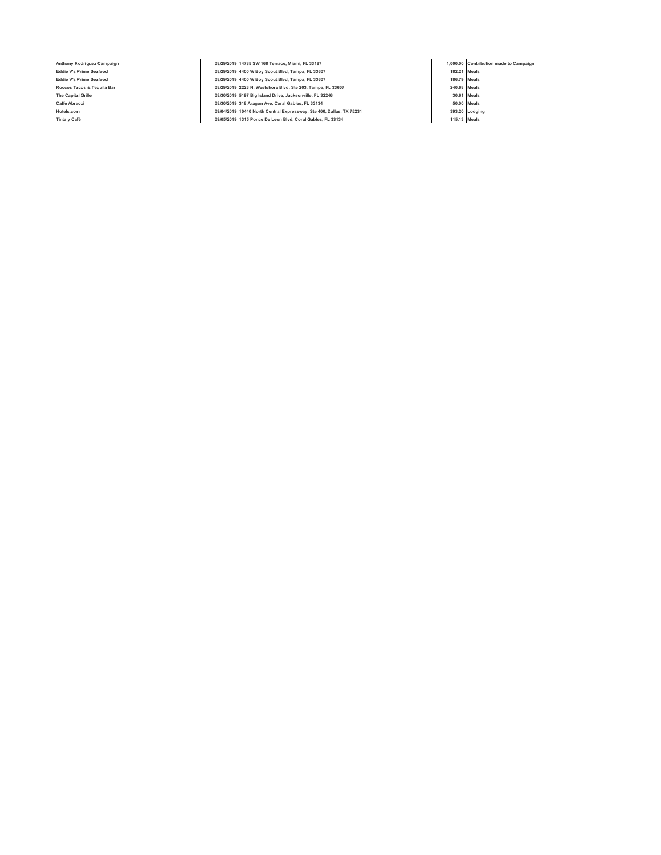| Anthony Rodriguez Campaign | 08/29/2019 14785 SW 168 Terrace, Miami, FL 33187                     | 1,000.00 Contribution made to Campaign |
|----------------------------|----------------------------------------------------------------------|----------------------------------------|
| Eddie V's Prime Seafood    | 08/29/2019 4400 W Boy Scout Blvd, Tampa, FL 33607                    | 182.21 Meals                           |
| Eddie V's Prime Seafood    | 08/29/2019 4400 W Boy Scout Blvd, Tampa, FL 33607                    | 186,79 Meals                           |
| Roccos Tacos & Tequila Bar | 08/29/2019 2223 N. Westshore Blvd, Ste 203, Tampa, FL 33607          | 240.68 Meals                           |
| <b>The Capital Grille</b>  | 08/30/2019 5197 Big Island Drive, Jacksonville, FL 32246             | 30.61 Meals                            |
| <b>Caffe Abracci</b>       | 08/30/2019 318 Aragon Ave. Coral Gables, FL 33134                    | 50.00 Meals                            |
| Hotels.com                 | 09/04/2019 10440 North Central Expressway, Ste 400, Dallas, TX 75231 | 393.20 Lodging                         |
| Tinta y Café               | 09/05/2019 1315 Ponce De Leon Blvd, Coral Gables, FL 33134           | 115.13 Meals                           |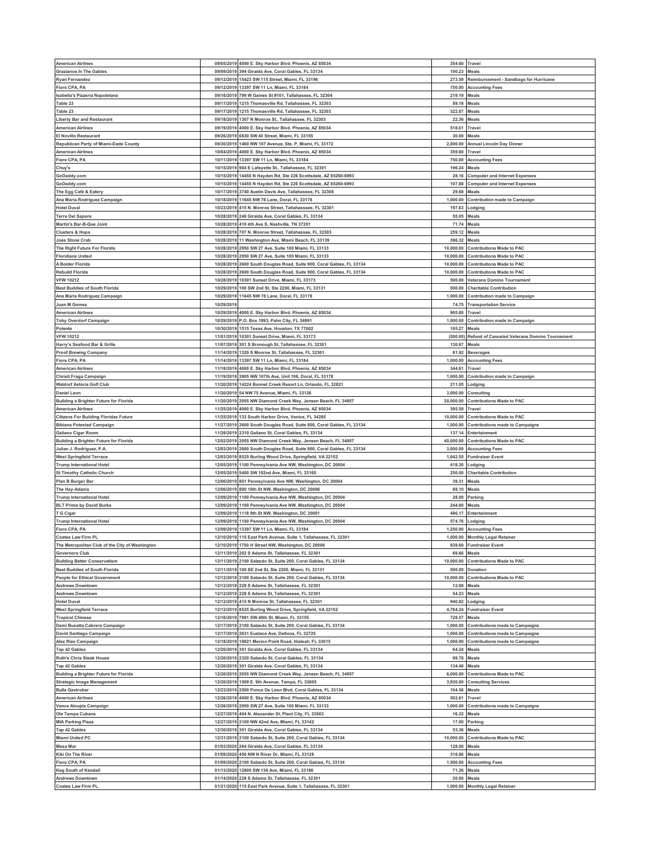| <b>American Airlines</b>                        |                          |                                                                                               |                   |                                               |
|-------------------------------------------------|--------------------------|-----------------------------------------------------------------------------------------------|-------------------|-----------------------------------------------|
|                                                 |                          | 09/05/2019 4000 E. Sky Harbor Blvd. Phoenix, AZ 85034                                         | 354.60 Travel     |                                               |
| <b>Grazianos In The Gables</b>                  | 09/09/2019               | 394 Giralda Ave, Coral Gables, FL 33134                                                       | 100.23            | Meals                                         |
| <b>Ryan Fernandez</b>                           |                          | 09/12/2019 15423 SW 115 Street, Miami, FL 33196                                               | 273.59            | Reimbursement - Sandbags for Hurricane        |
| Fiore CPA, PA                                   | 09/12/2019               | 13397 SW 11 Ln, Miami, FL 33184                                                               | 750.00            | <b>Accounting Fees</b>                        |
| Isabella's Pizzeria Napoletana                  | 09/16/2019               | 799 W Gaines St #101, Tallahassee, FL 32304                                                   | 219.19            | <b>Meals</b>                                  |
| Table 23                                        | 09/17/2019               | 1215 Thomasville Rd, Tallahassee, FL 32303                                                    | 89.18             | Meals                                         |
|                                                 |                          |                                                                                               |                   |                                               |
| Table 23                                        | 09/17/2019               | 1215 Thomasville Rd, Tallahassee, FL 32303                                                    | 322.67            | Meals                                         |
| <b>Liberty Bar and Restaurant</b>               | 09/18/2019               | 1307 N Monroe St., Tallahassee, FL 32303                                                      | 22.36             | Meals                                         |
| <b>American Airlines</b>                        | 09/19/2019               | 4000 E. Sky Harbor Blvd. Phoenix, AZ 85034                                                    | 518.61            | Travel                                        |
| El Novillo Restaurant                           | 09/26/2019               | 6830 SW 40 Street, Miami, FL 33155                                                            | 30.00             | Meals                                         |
| Republican Party of Miami-Dade County           | 09/30/2019               | 1460 NW 107 Avenue, Ste. P, Miami, FL 33172                                                   | 2,000.00          | Annual Lincoln Day Dinner                     |
| <b>American Airlines</b>                        | 10/04/2019               | 4000 E. Sky Harbor Blvd. Phoenix, AZ 85034                                                    | 359.60            | Travel                                        |
|                                                 |                          |                                                                                               |                   |                                               |
| Fiore CPA, PA                                   | 10/11/2019               | 13397 SW 11 Ln, Miami, FL 33184                                                               | 750.00            | <b>Accounting Fees</b>                        |
| Chuy's                                          | 10/15/2019               | 904 E Lafayette St., Tallahassee, FL 32301                                                    | 196.24            | Meals                                         |
| GoDaddy.com                                     | 10/15/2019               | 14455 N Havden Rd. Ste 226 Scottsdale, AZ 85260-6993                                          | 28.16             | <b>Computer and Internet Expenses</b>         |
| GoDaddy.com                                     | 10/15/2019               | 14455 N Hayden Rd, Ste 226 Scottsdale, AZ 85260-6993                                          | 107.88            | <b>Computer and Internet Expenses</b>         |
| The Egg Café & Eatery                           | 10/17/2019               | 3740 Austin Davis Ave, Tallahassee, FL 32308                                                  | 29.68             | Meals                                         |
| Ana Maria Rodriguez Campaign                    | 10/18/2019               | 11645 NW 78 Lane, Doral, FL 33178                                                             | 1,000.00          | Contribution made to Campaign                 |
|                                                 |                          |                                                                                               |                   |                                               |
| <b>Hotel Duval</b>                              | 10/23/2019               | 415 N. Monroe Street, Tallahasssee, FL 32301                                                  | 197.63            | Lodging                                       |
| <b>Terre Del Sapore</b>                         |                          | 10/28/2019 246 Giralda Ave, Coral Gables, FL 33134                                            | 55.05             | Meals                                         |
| Martin's Bar-B-Que Joint                        | 10/28/2019               | 410 4th Ave S, Nashville, TN 37201                                                            | 71.74             | Meals                                         |
| <b>Clusters &amp; Hops</b>                      |                          | 10/28/2019 707 N. Monroe Street, Tallahassee, FL 32303                                        | 259.12            | Meals                                         |
| Joes Stone Crab                                 | 10/28/2019               | 11 Washington Ave, Miami Beach, FL 33139                                                      | 396.32            | Meals                                         |
|                                                 |                          |                                                                                               |                   |                                               |
| The Right Future For Florida                    |                          | 10/28/2019 2950 SW 27 Ave, Suite 100 Miami, FL 33133                                          | 10,000.00         | <b>Contributions Made to PAC</b>              |
| <b>Floridians United</b>                        | 10/28/2019               | 2950 SW 27 Ave, Suite 100 Miami, FL 33133                                                     | 10,000.00         | <b>Contributions Made to PAC</b>              |
| A Bolder Florida                                | 10/28/2019               | 2600 South Douglas Road, Suite 900, Coral Gables, FL 33134                                    | 10,000.00         | <b>Contributions Made to PAC</b>              |
| <b>Rebuild Florida</b>                          | 10/28/2019               | 2600 South Douglas Road, Suite 900, Coral Gables, FL 33134                                    | 10,000.00         | <b>Contributions Made to PAC</b>              |
| <b>VFW 10212</b>                                | 10/28/2019               | 10301 Sunset Drive, Miami, FL 33173                                                           |                   | 500.00 Veterans Domino Tournament             |
| <b>Best Buddies of South Florida</b>            | 10/29/2019               | 100 SW 2nd St, Ste 2200, Miami, FL 33131                                                      | 500.00            | <b>Charitable Contribution</b>                |
|                                                 |                          |                                                                                               |                   |                                               |
| Ana Maria Rodriguez Campaign                    | 10/29/2019               | 11645 NW 78 Lane, Doral, FL 33178                                                             | 1,000.00          | Contribution made to Campaign                 |
| Juan M Gomez                                    | 10/29/201                |                                                                                               | 74.75             | <b>Transportation Service</b>                 |
| <b>American Airlines</b>                        | 10/29/2019               | 4000 E. Sky Harbor Blvd. Phoenix, AZ 85034                                                    | 905.80            | Travel                                        |
| <b>Toby Overdorf Campaign</b>                   |                          | 10/29/2019 P.O. Box 1893, Palm City, FL 34991                                                 | 1,000.00          | <b>Contribution made to Campaign</b>          |
| Potente                                         |                          | 10/30/2019 1515 Texas Ave, Houston, TX 77002                                                  | 105.27            | Meals                                         |
| <b>VFW 10212</b>                                | 11/01/2019               | 10301 Sunset Drive, Miami, FL 33173                                                           | (500.00)          | Refund of Canceled Veterans Domino Tournament |
|                                                 |                          |                                                                                               |                   |                                               |
| Harry's Seafood Bar & Grille                    |                          | 11/07/2019 301 S Bronough St, Tallahassee, FL 32301                                           | 130.67            | Meals                                         |
| <b>Proof Brewing Company</b>                    | 11/14/2019               | 1320 S Monroe St, Tallahassee, FL 32301                                                       | 61.92             | Beverages                                     |
| Fiore CPA, PA                                   | 11/14/2019               | 13397 SW 11 Ln, Miami, FL 33184                                                               | 1,000.00          | <b>Accounting Fees</b>                        |
| <b>American Airlines</b>                        | 11/18/2019               | 4000 E. Sky Harbor Blvd. Phoenix, AZ 85034                                                    | 344.61            | Travel                                        |
| Christi Fraga Campaign                          | 11/19/2019               | 3905 NW 107th Ave, Unit 106, Doral, FL 33178                                                  | 1,000.00          | Contribution made to Campaign                 |
|                                                 |                          |                                                                                               |                   |                                               |
| <b>Waldorf Astoria Golf Club</b>                | 11/20/2019               | 14224 Bonnet Creek Resort Ln, Orlando, FL 32821                                               | 211.05            | Lodging                                       |
| <b>Daniel Leon</b>                              | 11/20/2019               | 54 NW 75 Avenue, Miami, FL 33126                                                              | 3,000.00          | Consultina                                    |
| <b>Building a Brighter Future for Florida</b>   | 11/20/2019               | 2055 NW Diamond Creek Way, Jensen Beach, FL 34957                                             | 20,000.00         | <b>Contributions Made to PAC</b>              |
| <b>American Airlines</b>                        | 11/25/2019               | 4000 E. Sky Harbor Blvd. Phoenix, AZ 85034                                                    | 395.59            | Travel                                        |
| <b>Citizens For Building Floridas Future</b>    | 11/25/2019               | 133 South Harbor Drive, Venice, FL 34285                                                      | 10,000.00         | <b>Contributions Made to PAC</b>              |
| <b>Bibiana Potestad Campaign</b>                | 11/27/2019               | 2600 South Douglas Road, Suite 800, Coral Gables, FL 33134                                    | 1,000.00          | <b>Contributions made to Campaigns</b>        |
|                                                 |                          |                                                                                               |                   |                                               |
| <b>Galiano Cigar Room</b>                       |                          | 11/29/2019 2310 Galiano St, Coral Gables, FL 33134                                            | 137.14            | Entertainment                                 |
| <b>Building a Brighter Future for Florida</b>   | 12/02/2019               | 2055 NW Diamond Creek Way, Jensen Beach, FL 34957                                             | 40,000.00         | <b>Contributions Made to PAC</b>              |
| Julian J. Rodriguez, P.A.                       |                          | 12/03/2019 2600 South Douglas Road, Suite 900, Coral Gables, FL 33134                         | 3,000.00          | <b>Accounting Fees</b>                        |
| <b>West Springfield Terrace</b>                 | 12/03/2019               | 8525 Burling Wood Drive, Springfield, VA 22152                                                | 1,642.55          | <b>Fundraiser Event</b>                       |
| <b>Trump International Hotel</b>                | 12/05/2019               | 1100 Pennsylvania Ave NW, Washington, DC 20004                                                | 418.30            | Lodging                                       |
|                                                 |                          |                                                                                               |                   |                                               |
|                                                 |                          |                                                                                               |                   |                                               |
| <b>St Timothy Catholic Church</b>               | 12/05/2019               | 5400 SW 102nd Ave, Miami, FL 33165                                                            | 250.00            | <b>Charitable Contribution</b>                |
| Plan B Burger Bar                               |                          | 12/06/2019 801 Pennsylvania Ave NW, Washington, DC 20004                                      | 39.31             | Meals                                         |
| The Hay-Adams                                   | 12/06/2019               | 800 16th St NW, Washington, DC 20006                                                          | 88.10             | Meals                                         |
| <b>Trump International Hotel</b>                | 12/09/2019               | 1100 Pennsylvania Ave NW, Washington, DC 20004                                                | 28.00             | Parking                                       |
|                                                 |                          |                                                                                               |                   |                                               |
| <b>BLT Prime by David Burke</b>                 | 12/09/2019               | 1100 Pennsylvania Ave NW, Washington, DC 20004                                                | 244.60            | Meals                                         |
| T G Cigar                                       |                          | 12/09/2019 1118 9th St NW, Washington, DC 20001                                               | 486.17            | Entertainment                                 |
| <b>Trump International Hotel</b>                | 12/09/2019               | 1100 Pennsylvania Ave NW, Washington, DC 20004                                                | 574.76            | Lodging                                       |
| Fiore CPA, PA                                   | 12/09/2019               | 13397 SW 11 Ln, Miami, FL 33184                                                               | 1,250.00          | <b>Accounting Fees</b>                        |
| Coates Law Firm PL                              |                          | 12/10/2019 115 East Park Avenue, Suite 1, Tallahassee, FL 32301                               | 1,000.00          | <b>Monthly Legal Retainer</b>                 |
| The Metropolitan Club of the City of Washington |                          | 12/10/2019 1700 H Street NW, Washington, DC 20006                                             |                   | 839.60 Fundraiser Event                       |
| <b>Governors Club</b>                           | 12/11/2019               |                                                                                               | 69.66             | Meals                                         |
|                                                 |                          | 202 S Adams St, Tallahassee, FL 32301                                                         |                   |                                               |
| <b>Building Better Conservatism</b>             | 12/11/2019               | 2100 Salzedo St, Suite 200, Coral Gables, FL 33134                                            | 10,000.00         | Contributions Made to PAC                     |
| <b>Best Buddies of South Florida</b>            | 12/11/2019               | 100 SE 2nd St, Ste 2200, Miami, FL 33131                                                      | 500.00            | Donation                                      |
| <b>People for Ethical Government</b>            | 12/12/2019               | 2100 Salzedo St, Suite 200, Coral Gables, FL 33134                                            | 10,000.00         | <b>Contributions Made to PAC</b>              |
| <b>Andrews Downtown</b>                         | 12/12/2019               | 228 S Adams St, Tallahassee, FL 32301                                                         | 12.68             | Meals                                         |
| <b>Andrews Downtown</b>                         | 12/12/2019               | 228 S Adams St, Tallahassee, FL 32301                                                         | 54.23             | Meals                                         |
| <b>Hotel Duval</b>                              | 12/12/2019               | 415 N Monroe St, Tallahassee, FL 32301                                                        | 940.82            | Lodging                                       |
| <b>West Springfield Terrace</b>                 | 12/12/2019               | 8525 Burling Wood Drive, Springfield, VA 22152                                                | 4,764.24          | <b>Fundraiser Event</b>                       |
| <b>Tropical Chinese</b>                         | 12/16/2019               | 7991 SW 40th St, Miami, FL 33155                                                              | 728.57            | Meals                                         |
|                                                 |                          |                                                                                               |                   |                                               |
| Demi Busatta Cabrera Campaign                   | 12/17/2019               | 2100 Salzedo St, Suite 200, Coral Gables, FL 33134                                            | 1,000.00          | Contributions made to Campaigns               |
| David Santiago Campaign                         |                          | 12/17/2019 2631 Eustace Ave, Deltona, FL 32725                                                | 1,000.00          | <b>Contributions made to Campaigns</b>        |
| <b>Alex Rizo Campaign</b>                       | 12/18/2019               | 19021 Merion Point Road, Hialeah, FL 33015                                                    | 1,000.00          | <b>Contributions made to Campaigns</b>        |
| Tap 42 Gables                                   |                          | 12/20/2019 301 Giralda Ave, Coral Gables, FL 33134                                            | 64.24             | <b>Meals</b>                                  |
| <b>Ruth's Chris Steak House</b>                 | 12/20/2019               | 2320 Salzedo St, Coral Gables, FL 33134                                                       | 99.78             | Meals                                         |
| <b>Tap 42 Gables</b>                            |                          |                                                                                               |                   |                                               |
|                                                 |                          | 12/20/2019 301 Giralda Ave, Coral Gables, FL 33134                                            | 134.48            | Meals                                         |
| Building a Brighter Future for Florida          | 12/20/2019               | 2055 NW Diamond Creek Way, Jensen Beach, FL 34957                                             | 6,000.00          | <b>Contributions Made to PAC</b>              |
| <b>Strategic Image Management</b>               | 12/20/2019               | 1509 E. 9th Avenue, Tampa, FL 33605                                                           | 3,930.00          | <b>Consulting Services</b>                    |
| <b>Bulla Gastrobar</b>                          | 12/23/2019               | 2500 Ponce De Leon Blvd, Coral Gables, FL 33134                                               | 104.56            | Meals                                         |
| <b>American Airlines</b>                        | 12/26/2019               | 4000 E. Sky Harbor Blvd. Phoenix, AZ 85034                                                    | 502.61            | Travel                                        |
| Vance Aloupis Campaign                          | 12/26/2019               | 2950 SW 27 Ave, Suite 100 Miami, FL 33133                                                     | 1,000.00          | <b>Contributions made to Campaigns</b>        |
|                                                 |                          |                                                                                               |                   |                                               |
| Ole Tampa Cubans                                | 12/27/2019               | 404 N. Alexander St, Plant City, FL 33563                                                     | 16.32             | Meals                                         |
| <b>MIA Parking Plaza</b>                        | 12/27/2019               | 2100 NW 42nd Ave, Miami, FL 33142                                                             | 17.00             | Parking                                       |
| Tap 42 Gables                                   | 12/30/2019               | 301 Giralda Ave, Coral Gables, FL 33134                                                       | 53.36             | Meals                                         |
| Miami United PC                                 | 12/31/2019               | 2100 Salzedo St, Suite 200, Coral Gables, FL 33134                                            | 10,000.00         | <b>Contributions Made to PAC</b>              |
| Mesa Mar                                        | 01/03/2020               | 264 Giralda Ave, Coral Gables, FL 33134                                                       | 128.00            | Meals                                         |
| Kiki On The River                               | 01/09/2020               | 450 NW N River Dr, Miami, FL 33128                                                            | 318.86            | Meals                                         |
|                                                 |                          |                                                                                               |                   |                                               |
| Fiore CPA, PA                                   | 01/09/2020               | 2100 Salzedo St, Suite 200, Coral Gables, FL 33134                                            | 1,500.00          | <b>Accounting Fees</b>                        |
| <b>Keg South of Kendall</b>                     | 01/13/2020               | 12805 SW 136 Ave, Miami, FL 33186                                                             | 71.26             | Meals                                         |
| Andrews Downtown<br><b>Coates Law Firm PL</b>   | 01/14/2020<br>01/21/2020 | 228 S Adams St, Tallahassee, FL 32301<br>115 East Park Avenue, Suite 1, Tallahassee, FL 32301 | 20.00<br>1,000.00 | Meals<br><b>Monthly Legal Retainer</b>        |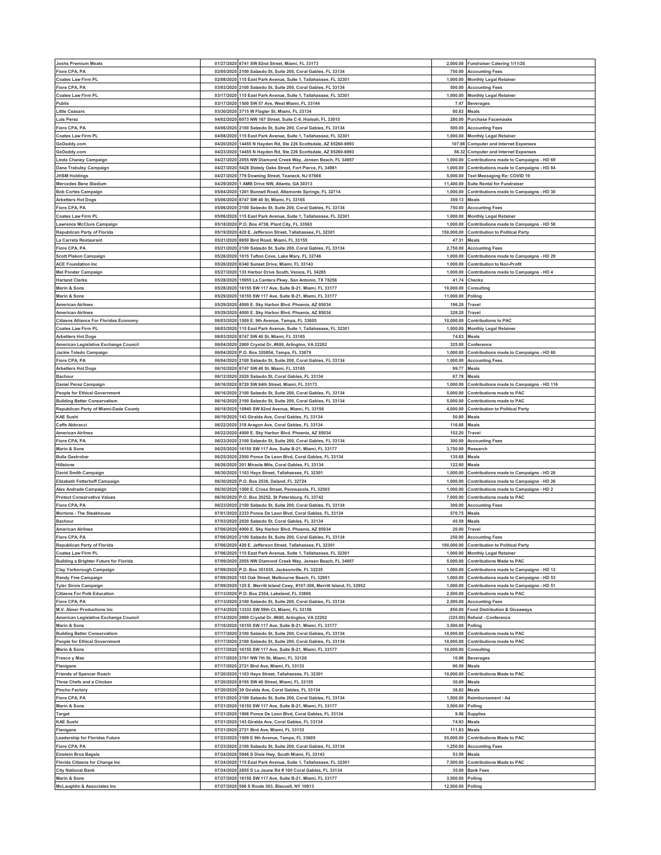| <b>Joshs Premium Meats</b>                             |            | 01/27/2020 8741 SW 82nd Street, Miami, FL 33173                                                 |                               | 2,000.00 Fundraiser Catering 1/11/20             |
|--------------------------------------------------------|------------|-------------------------------------------------------------------------------------------------|-------------------------------|--------------------------------------------------|
| Fiore CPA, PA                                          | 02/05/2020 | 2100 Salzedo St, Suite 200, Coral Gables, FL 33134                                              | 750.00                        | <b>Accounting Fees</b>                           |
| <b>Coates Law Firm PL</b>                              | 02/08/2020 | 115 East Park Avenue, Suite 1, Tallahassee, FL 32301                                            | 1,000.00                      | <b>Monthly Legal Retainer</b>                    |
| Fiore CPA, PA                                          | 03/03/2020 | 2100 Salzedo St, Suite 200, Coral Gables, FL 33134                                              | 500.00                        | <b>Accounting Fees</b>                           |
| <b>Coates Law Firm PL</b>                              | 03/17/2020 | 115 East Park Avenue, Suite 1, Tallahassee, FL 32301                                            | 1,000.00                      | <b>Monthly Legal Retainer</b>                    |
|                                                        |            |                                                                                                 |                               |                                                  |
| Publix                                                 | 03/17/2020 | 1500 SW 57 Ave, West Miami, FL 33144                                                            | 7.47                          | <b>Beverages</b>                                 |
| <b>Little Ceasars</b>                                  | 03/30/2020 | 3715 W Flagler St, Miami, FL 33134                                                              | 80.83                         | Meals                                            |
| <b>Luis Perez</b>                                      |            | 04/02/2020 6073 NW 167 Street, Suite C-9, Hialeah, FL 33015                                     | 280.00                        | <b>Purchase Facemasks</b>                        |
| Fiore CPA, PA                                          | 04/06/2020 | 2100 Salzedo St. Suite 200, Coral Gables, FL 33134                                              | 500.00                        | <b>Accounting Fees</b>                           |
|                                                        |            |                                                                                                 |                               |                                                  |
| <b>Coates Law Firm PL</b>                              | 04/08/2020 | 115 East Park Avenue, Suite 1, Tallahassee, FL 32301                                            | 1.000.00                      | <b>Monthly Legal Retainer</b>                    |
| GoDaddy.com                                            | 04/20/2020 | 14455 N Hayden Rd, Ste 226 Scottsdale, AZ 85260-6993                                            | 107.88                        | <b>Computer and Internet Expenses</b>            |
| GoDaddy.com                                            | 04/23/2020 | 14455 N Hayden Rd, Ste 226 Scottsdale, AZ 85260-6993                                            | 56.32                         | <b>Computer and Internet Expenses</b>            |
| Linda Chaney Campaign                                  | 04/27/2020 | 2055 NW Diamond Creek Way, Jensen Beach, FL 34957                                               | 1,000.00                      | Contributions made to Campaigns - HD 69          |
| Dana Trabulsy Campaign                                 |            | 04/27/2020 5428 Stately Oaks Street, Fort Pierce, FL 34981                                      | 1,000.00                      | Contributions made to Campaigns - HD 84          |
|                                                        |            |                                                                                                 |                               |                                                  |
| <b>JHSM Holdings</b>                                   | 04/27/2020 | 779 Downing Street, Teaneck, NJ 07666                                                           | 5,000.00                      | <b>Text Messaging Re: COVID 19</b>               |
| <b>Mercedes Benz Stadium</b>                           |            | 04/29/2020 1 AMB Drive NW, Atlanta, GA 30313                                                    | 11,400.00                     | <b>Suite Rental for Fundraiser</b>               |
| <b>Bob Cortes Campaign</b>                             | 05/04/2020 | 1201 Bunnell Road, Altamonte Springs, FL 32714                                                  | 1,000.00                      | Contributions made to Campaigns - HD 30          |
| <b>Arbetters Hot Dogs</b>                              | 05/06/2020 | 8747 SW 40 St, Miami, FL 33165                                                                  | 359.13                        | Meals                                            |
|                                                        |            |                                                                                                 |                               |                                                  |
| Fiore CPA, PA                                          | 05/06/2020 | 2100 Salzedo St, Suite 200, Coral Gables, FL 33134                                              | 750.00                        | <b>Accounting Fees</b>                           |
| <b>Coates Law Firm PL</b>                              |            | 05/06/2020 115 East Park Avenue, Suite 1, Tallahassee, FL 32301                                 |                               | 1,000.00 Monthly Legal Retainer                  |
| awrence McClure Campaign                               | 05/18/2020 | P.O. Box 4738, Plant City, FL 33563                                                             | 1,000.00                      | Contributions made to Campaigns - HD 58          |
| Republican Party of Florida                            | 05/19/2020 | 420 E. Jefferson Street, Tallahassee, FL 32301                                                  |                               | 150,000.00 Contribution to Political Party       |
|                                                        |            |                                                                                                 |                               |                                                  |
| La Carreta Restaurant                                  | 05/21/2020 | 8650 Bird Road, Miami, FL 33155                                                                 | 47.31                         | Meals                                            |
| Fiore CPA, PA                                          |            | 05/21/2020 2100 Salzedo St, Suite 200, Coral Gables, FL 33134                                   | 2,750.00                      | <b>Accounting Fees</b>                           |
| <b>Scott Plakon Campaign</b>                           | 05/26/2020 | 1015 Tufton Cove, Lake Mary, FL 32746                                                           | 1,000.00                      | Contributions made to Campaigns - HD 29          |
| <b>ACE Foundation Inc</b>                              | 05/26/2020 | 6340 Sunset Drive, Miami, FL 33143                                                              | 1,000.00                      | <b>Contribution to Non-Profit</b>                |
|                                                        | 05/27/2020 | 133 Harbor Drive South, Venice, FL 34285                                                        | 1,000.00                      |                                                  |
| Mel Ponder Campaign                                    |            |                                                                                                 |                               | Contributions made to Campaigns - HD 4           |
| <b>Harland Clarke</b>                                  | 05/28/2020 | 15955 La Cantera Pkwy, San Antonio, TX 78256                                                    | 41.74                         | Checks                                           |
| Marin & Sons                                           | 05/28/2020 | 16155 SW 117 Ave, Suite B-21, Miami, FL 33177                                                   | 10,000.00                     | Consulting                                       |
| Marin & Sons                                           | 05/29/2020 | 16155 SW 117 Ave, Suite B-21, Miami, FL 33177                                                   | 11,000.00                     | Polling                                          |
| <b>American Airlines</b>                               | 05/29/2020 | 4000 E. Sky Harbor Blvd. Phoenix, AZ 85034                                                      | 196.20                        | Travel                                           |
|                                                        |            |                                                                                                 |                               |                                                  |
| <b>American Airlines</b>                               | 05/29/2020 | 4000 E. Sky Harbor Blvd. Phoenix, AZ 85034                                                      | 328.20                        | Travel                                           |
| <b>Citizens Alliance For Floridas Economy</b>          | 06/03/2020 | 1509 E. 9th Avenue, Tampa, FL 33605                                                             | 10,000.00                     | <b>Contributions to PAC</b>                      |
| <b>Coates Law Firm PL</b>                              | 06/03/2020 | 115 East Park Avenue, Suite 1, Tallahassee, FL 32301                                            | 1,000.00                      | <b>Monthly Legal Retainer</b>                    |
| <b>Arbetters Hot Dogs</b>                              | 06/03/2020 | 8747 SW 40 St, Miami, FL 33165                                                                  | 74.83                         | Meals                                            |
|                                                        |            |                                                                                                 |                               |                                                  |
| American Legislative Exchange Council                  | 06/04/2020 | 2900 Crystal Dr, #600, Arlington, VA 22202                                                      | 325.00                        | Conference                                       |
| Jackie Toledo Campaign                                 |            | 06/04/2020 P.O. Box 320854, Tampa, FL 33679                                                     | 1.000.00                      | Contributions made to Campaigns - HD 60          |
| Fiore CPA, PA                                          | 06/04/2020 | 2100 Salzedo St, Suite 200, Coral Gables, FL 33134                                              | 1,000.00                      | <b>Accounting Fees</b>                           |
| <b>Arbetters Hot Dogs</b>                              | 06/10/2020 | 8747 SW 40 St, Miami, FL 33165                                                                  | 99.77                         | Meals                                            |
|                                                        |            |                                                                                                 |                               |                                                  |
| <b>Bachour</b>                                         | 06/12/2020 | 2020 Salzedo St, Coral Gables, FL 33134                                                         | 67.78                         | Meals                                            |
| Daniel Perez Campaign                                  |            | 06/16/2020 8720 SW 84th Street, Miami, FL 33173                                                 | 1,000.00                      | Contributions made to Campaigns - HD 116         |
| <b>People for Ethical Government</b>                   | 06/16/2020 | 2100 Salzedo St, Suite 200, Coral Gables, FL 33134                                              | 5,000.00                      | <b>Contributions made to PAC</b>                 |
| <b>Building Better Conservatism</b>                    | 06/16/2020 | 2100 Salzedo St, Suite 200, Coral Gables, FL 33134                                              | 5,000.00                      | <b>Contributions made to PAC</b>                 |
|                                                        |            |                                                                                                 |                               |                                                  |
| Republican Party of Miami-Dade County                  | 06/18/2020 | 10945 SW 82nd Avenue, Miami, FL 33156                                                           | 4,000.00                      | <b>Contribution to Political Party</b>           |
| <b>KAE Sushi</b>                                       | 06/19/2020 | 143 Giralda Ave, Coral Gables, FL 33134                                                         | 50.80                         | Meals                                            |
| Caffe Abbracci                                         | 06/22/2020 | 318 Aragon Ave, Coral Gables, FL 33134                                                          | 116.66                        | Meals                                            |
|                                                        |            |                                                                                                 |                               |                                                  |
|                                                        |            |                                                                                                 |                               |                                                  |
| <b>American Airlines</b>                               | 06/22/2020 | 4000 E. Sky Harbor Blvd. Phoenix, AZ 85034                                                      | 152.20                        | Travel                                           |
| Fiore CPA, PA                                          | 06/23/2020 | 2100 Salzedo St, Suite 200, Coral Gables, FL 33134                                              | 300.00                        | <b>Accounting Fees</b>                           |
| Marin & Sons                                           | 06/25/2020 | 16155 SW 117 Ave, Suite B-21, Miami, FL 33177                                                   | 3,750.00                      | Research                                         |
| <b>Bulla Gastrobar</b>                                 | 06/25/2020 | 2500 Ponce De Leon Blvd, Coral Gables, FL 33134                                                 | 135.68                        | Meals                                            |
| <b>Hillstone</b>                                       | 06/26/2020 |                                                                                                 |                               |                                                  |
|                                                        |            | 201 Miracle Mile, Coral Gables, FL 33134                                                        | 122.60                        | Meals                                            |
| <b>David Smith Campaign</b>                            | 06/30/202  | 1103 Hays Street, Tallahassee, FL 32301                                                         | 1,000.00                      | Contributions made to Campaigns - HD 28          |
| Elizabeth Fetterhoff Campaign                          | 06/30/2020 | P.O. Box 2536, Deland, FL 32724                                                                 | 1,000.00                      | Contributions made to Campaigns - HD 26          |
| Alex Andrade Campaign                                  | 06/30/2020 | 1500 E. Cross Street, Pennsacola, FL 32503                                                      | 1,000.00                      | Contributions made to Campaigns - HD 2           |
|                                                        | 06/30/2020 |                                                                                                 | 7,000.00                      | <b>Contributions made to PAC</b>                 |
| <b>Protect Conservative Values</b>                     |            | P.O. Box 20252, St Petersburg, FL 33742                                                         |                               |                                                  |
| Fiore CPA, PA                                          | 06/23/2020 | 2100 Salzedo St, Suite 200, Coral Gables, FL 33134                                              | 300.00                        | <b>Accounting Fees</b>                           |
| Mortons - The Steakhouse                               | 07/01/2020 | 2333 Ponce De Leon Blvd, Coral Gables, FL 33134                                                 | 570.75                        | Meals                                            |
| <b>Bachour</b>                                         | 07/03/2020 | 2020 Salzedo St, Coral Gables, FL 33134                                                         | 45.59                         | Meals                                            |
| <b>American Airlines</b>                               | 07/06/2020 | 4000 E. Sky Harbor Blvd. Phoenix, AZ 85034                                                      | 20.00                         | Travel                                           |
|                                                        |            |                                                                                                 |                               |                                                  |
| Fiore CPA, PA                                          |            | 07/06/2020 2100 Salzedo St, Suite 200, Coral Gables, FL 33134                                   | 250.00                        | <b>Accounting Fees</b>                           |
| Republican Party of Florida                            |            | 07/06/2020 420 E. Jefferson Street, Tallahassee, FL 32301                                       |                               | 100,000.00 Contribution to Political Party       |
| <b>Coates Law Firm PL</b>                              | 07/06/2020 | 115 East Park Avenue, Suite 1, Tallahassee, FL 32301                                            |                               | 1,000.00 Monthly Legal Retainer                  |
| <b>Building a Brighter Future for Florida</b>          | 07/09/2020 | 2055 NW Diamond Creek Way, Jensen Beach, FL 34957                                               | 5,000.00                      | <b>Contributions Made to PAC</b>                 |
| Clay Yarborough Campaign                               | 07/09/2020 | P.O. Box 351035, Jacksonville, FL 32235                                                         | 1,000.00                      | Contributions made to Campaigns - HD 12          |
| Randy Fine Campaign                                    | 07/09/2020 | 103 Oak Street, Melbourne Beach, FL 32951                                                       | 1,000.00                      | Contributions made to Campaigns - HD 53          |
|                                                        |            |                                                                                                 |                               |                                                  |
| <b>Tyler Sirois Campaign</b>                           |            | 07/09/2020 125 E. Merritt Island Cswy, #107-306, Merritt Island, FL 32952                       |                               | 1,000.00 Contributions made to Campaigns - HD 51 |
| <b>Citizens For Polk Education</b>                     | 07/13/2020 | P.O. Box 2354, Lakeland, FL 33806                                                               | 2,500.00                      | <b>Contributions made to PAC</b>                 |
| Fiore CPA, PA                                          |            | 07/13/2020 2100 Salzedo St, Suite 200, Coral Gables, FL 33134                                   |                               | 2,500.00 Accounting Fees                         |
| M.V. Almer Productions Inc                             | 07/14/2020 | 13333 SW 59th Ct, Miami, FL 33156                                                               | 850.00                        | <b>Food Distribution &amp; Giveaways</b>         |
| American Legislative Exchange Council                  | 07/14/2020 |                                                                                                 |                               |                                                  |
|                                                        |            | 2900 Crystal Dr, #600, Arlington, VA 22202                                                      |                               | (325.00) Refund - Conference                     |
| Marin & Sons                                           | 07/16/2020 | 16155 SW 117 Ave, Suite B-21, Miami, FL 33177                                                   | 3,500.00                      | Polling                                          |
| <b>Building Better Conservatism</b>                    | 07/17/2020 | 2100 Salzedo St, Suite 200, Coral Gables, FL 33134                                              | 10,000.00                     | <b>Contributions made to PAC</b>                 |
| <b>People for Ethical Government</b>                   | 07/17/2020 | 2100 Salzedo St, Suite 200, Coral Gables, FL 33134                                              | 10,000.00                     | <b>Contributions made to PAC</b>                 |
| Marin & Sons                                           |            | 07/17/2020 16155 SW 117 Ave, Suite B-21, Miami, FL 33177                                        |                               | 10,000.00 Consulting                             |
|                                                        |            |                                                                                                 |                               |                                                  |
| Fresco y Mas                                           | 07/17/2020 | 3701 NW 7th St, Miami, FL 33126                                                                 | 10.98                         | <b>Beverages</b>                                 |
| Flanigans                                              |            | 07/17/2020 2721 Bird Ave, Miami, FL 33133                                                       |                               | 90.59 Meals                                      |
| <b>Friends of Spencer Roach</b>                        | 07/20/2020 | 1103 Hays Street, Tallahassee, FL 32301                                                         | 10,000.00                     | <b>Contributions Made to PAC</b>                 |
| Three Chefs and a Chicken                              | 07/20/2020 | 8195 SW 40 Street, Miami, FL 33155                                                              | 30.69                         | Meals                                            |
|                                                        | 07/20/2020 |                                                                                                 |                               |                                                  |
| <b>Pincho Factory</b>                                  |            | 30 Giralda Ave, Coral Gables, FL 33134                                                          | 38.82                         | Meals                                            |
| Fiore CPA, PA                                          | 07/21/2020 | 2100 Salzedo St, Suite 200, Coral Gables, FL 33134                                              | 1,500.00                      | Reimbursement - Ad                               |
| Marin & Sons                                           | 07/21/2020 | 16155 SW 117 Ave, Suite B-21, Miami, FL 33177                                                   | 3,500.00                      | Polling                                          |
| Target                                                 | 07/21/2020 | 1906 Ponce De Leon Blvd, Coral Gables, FL 33134                                                 | 9.56                          | Supplies                                         |
|                                                        |            |                                                                                                 |                               |                                                  |
| <b>KAE Sushi</b>                                       | 07/21/2020 | 143 Giralda Ave, Coral Gables, FL 33134                                                         | 74.93                         | Meals                                            |
| Flanigans                                              | 07/21/2020 | 2721 Bird Ave, Miami, FL 33133                                                                  | 111.83                        | Meals                                            |
| Leadership for Floridas Future                         | 07/23/2020 | 1509 E 9th Avenue, Tampa, FL 33605                                                              | 55,000.00                     | <b>Contributions Made to PAC</b>                 |
| Fiore CPA, PA                                          | 07/23/2020 | 2100 Salzedo St, Suite 200, Coral Gables, FL 33134                                              | 1,250.00                      | <b>Accounting Fees</b>                           |
|                                                        | 07/24/2020 | 5946 S Dixie Hwy, South Miami, FL 33143                                                         | 53.59                         | Meals                                            |
| <b>Einstein Bros Bagels</b>                            |            |                                                                                                 |                               |                                                  |
| Florida Citizens for Change Inc                        | 07/24/2020 | 115 East Park Avenue, Suite 1, Tallahassee, FL 32301                                            | 7,500.00                      | <b>Contributions Made to PAC</b>                 |
| <b>City National Bank</b>                              | 07/24/2020 | 2855 S Le Jeune Rd # 100 Coral Gables, FL 33134                                                 | 35.00                         | <b>Bank Fees</b>                                 |
| Marin & Sons<br><b>McLaughlin &amp; Associates Inc</b> | 07/27/2020 | 16155 SW 117 Ave, Suite B-21, Miami, FL 33177<br>07/27/2020 566 S Route 303, Blauvelt, NY 10913 | 3,500.00<br>12,500.00 Polling | Polling                                          |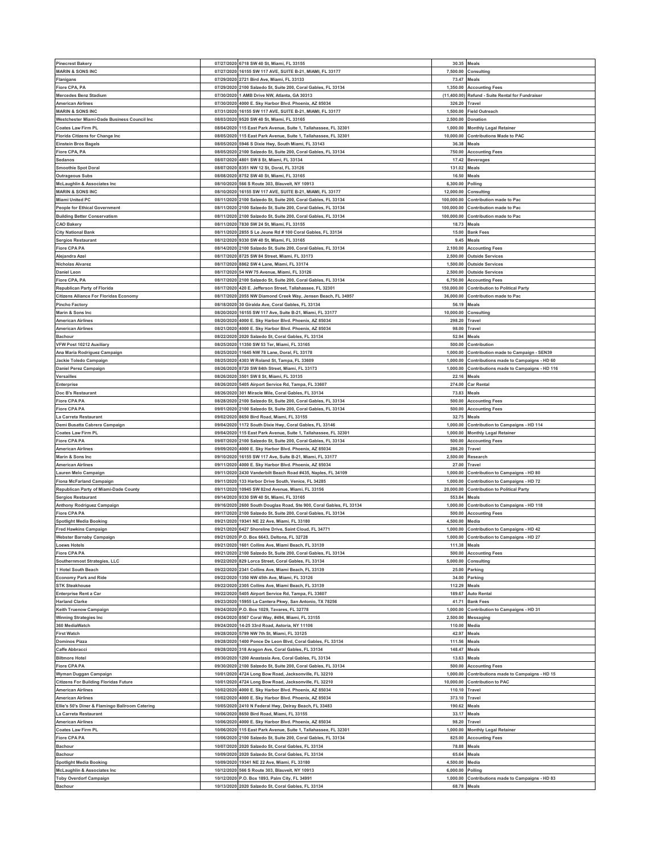| <b>Pinecrest Bakery</b><br><b>MARIN &amp; SONS INC</b><br>Flanigans |            |                                                                 |               |                                                  |
|---------------------------------------------------------------------|------------|-----------------------------------------------------------------|---------------|--------------------------------------------------|
|                                                                     |            | 07/27/2020 6718 SW 40 St, Miami, FL 33155                       | 30.35 Meals   |                                                  |
|                                                                     |            | 07/27/2020 16155 SW 117 AVE, SUITE B-21, MIAMI, FL 33177        | 7,500.00      | Consulting                                       |
|                                                                     |            | 07/29/2020 2721 Bird Ave, Miami, FL 33133                       |               | 73.47 Meals                                      |
| Fiore CPA, PA                                                       |            | 07/29/2020 2100 Salzedo St, Suite 200, Coral Gables, FL 33134   | 1,350.00      | <b>Accounting Fees</b>                           |
| <b>Mercedes Benz Stadium</b>                                        |            | 07/30/2020 1 AMB Drive NW, Atlanta, GA 30313                    |               | (11,400.00) Refund - Suite Rental for Fundraiser |
| <b>American Airlines</b>                                            | 07/30/2020 | 4000 E. Sky Harbor Blvd. Phoenix, AZ 85034                      | 326.20        | Travel                                           |
|                                                                     |            |                                                                 |               |                                                  |
| <b>MARIN &amp; SONS INC</b>                                         |            | 07/31/2020 16155 SW 117 AVE, SUITE B-21, MIAMI, FL 33177        | 1,500.00      | <b>Field Outreach</b>                            |
| Westchester Miami-Dade Business Council Inc                         | 08/03/2020 | 9520 SW 40 St, Miami, FL 33165                                  | 2,500.00      | Donation                                         |
| <b>Coates Law Firm PL</b>                                           |            | 08/04/2020 115 East Park Avenue, Suite 1, Tallahassee, FL 32301 | 1,000.00      | <b>Monthly Legal Retainer</b>                    |
| Florida Citizens for Change Inc                                     | 08/05/2020 | 115 East Park Avenue, Suite 1, Tallahassee, FL 32301            | 10,000.00     | Contributions Made to PAC                        |
| <b>Einstein Bros Bagels</b>                                         |            | 08/05/2020 5946 S Dixie Hwy, South Miami, FL 33143              | 36.38         | Meals                                            |
| Fiore CPA, PA                                                       | 08/05/2020 | 2100 Salzedo St, Suite 200, Coral Gables, FL 33134              | 750.00        | <b>Accounting Fees</b>                           |
| Sedanos                                                             | 08/07/2020 | 4801 SW 8 St, Miami, FL 33134                                   | 17.42         |                                                  |
|                                                                     |            |                                                                 |               | <b>Beverages</b>                                 |
| <b>Smoothie Spot Doral</b>                                          | 08/07/2020 | 8351 NW 12 St, Doral, FL 33126                                  | 131.02        | Meals                                            |
| <b>Outrageous Subs</b>                                              |            | 08/08/2020 8752 SW 40 St, Miami, FL 33165                       | 16.50         | Meals                                            |
| <b>McLaughlin &amp; Associates Inc</b>                              |            | 08/10/2020 566 S Route 303, Blauvelt, NY 10913                  | 6,300.00      | Polling                                          |
| <b>MARIN &amp; SONS INC</b>                                         | 08/10/2020 | 16155 SW 117 AVE, SUITE B-21, MIAMI, FL 33177                   | 12,000.00     | Consulting                                       |
| <b>Miami United PC</b>                                              |            | 08/11/2020 2100 Salzedo St, Suite 200, Coral Gables, FL 33134   | 100.000.00    | Contribution made to Pac                         |
| <b>People for Ethical Government</b>                                | 08/11/2020 | 2100 Salzedo St, Suite 200, Coral Gables, FL 33134              | 100,000.00    | Contribution made to Pac                         |
|                                                                     |            |                                                                 |               |                                                  |
| <b>Building Better Conservatism</b>                                 |            | 08/11/2020 2100 Salzedo St, Suite 200, Coral Gables, FL 33134   |               | 100,000.00 Contribution made to Pac              |
| <b>CAO Bakery</b>                                                   |            | 08/11/2020 7830 SW 24 St, Miami, FL 33155                       | 18.73         | Meals                                            |
| <b>City National Bank</b>                                           |            | 08/11/2020 2855 S Le Jeune Rd # 100 Coral Gables, FL 33134      |               | 15.00 Bank Fees                                  |
| <b>Sergios Restaurant</b>                                           | 08/12/2020 | 9330 SW 40 St, Miami, FL 33165                                  | 9.45          | Meals                                            |
| <b>Fiore CPA PA</b>                                                 |            | 08/14/2020 2100 Salzedo St, Suite 200, Coral Gables, FL 33134   | 2,100.00      | <b>Accounting Fees</b>                           |
| Alejandra Azel                                                      | 08/17/2020 | 8725 SW 84 Street, Miami, FL 33173                              | 2,500.00      | <b>Outside Services</b>                          |
|                                                                     |            |                                                                 |               |                                                  |
| <b>Nicholas Alvarez</b>                                             |            | 08/17/2020 8862 SW 4 Lane, Miami, FL 33174                      |               | 1,500.00 Outside Services                        |
| <b>Daniel Leon</b>                                                  | 08/17/2020 | 54 NW 75 Avenue, Miami, FL 33126                                | 2,500.00      | <b>Outside Services</b>                          |
| Fiore CPA, PA                                                       |            | 08/17/2020 2100 Salzedo St, Suite 200, Coral Gables, FL 33134   |               | 6,750.00 Accounting Fees                         |
| Republican Party of Florida                                         | 08/17/2020 | 420 E. Jefferson Street, Tallahassee, FL 32301                  | 150,000.00    | <b>Contribution to Political Party</b>           |
| <b>Citizens Alliance For Floridas Economy</b>                       |            | 08/17/2020 2055 NW Diamond Creek Way, Jensen Beach, FL 34957    |               | 36,000.00 Contribution made to Pac               |
| <b>Pincho Factory</b>                                               | 08/18/2020 | 30 Giralda Ave, Coral Gables, FL 33134                          | 56.19         | Meals                                            |
| Marin & Sons Inc                                                    |            | 08/20/2020 16155 SW 117 Ave, Suite B-21, Miami, FL 33177        | 10,000.00     | Consulting                                       |
|                                                                     |            |                                                                 |               |                                                  |
| <b>American Airlines</b>                                            | 08/20/2020 | 4000 E. Sky Harbor Blvd. Phoenix, AZ 85034                      | 298.20        | Travel                                           |
| <b>American Airlines</b>                                            |            | 08/21/2020 4000 E. Sky Harbor Blvd. Phoenix, AZ 85034           | 98.00         | Travel                                           |
| <b>Bachour</b>                                                      | 08/22/2020 | 2020 Salzedo St, Coral Gables, FL 33134                         | 52.94         | Meals                                            |
| VFW Post 10212 Auxiliary                                            |            | 08/25/2020 11350 SW 53 Ter, Miami, FL 33165                     | 500.00        | Contribution                                     |
| Ana Maria Rodriguez Campaign                                        | 08/25/2020 | 11645 NW 78 Lane, Doral, FL 33178                               | 1,000.00      | Contribution made to Campaign - SEN39            |
|                                                                     | 08/25/2020 | 4303 W Roland St, Tampa, FL 33609                               | 1.000.00      |                                                  |
| Jackie Toledo Campaign                                              |            |                                                                 |               | Contributions made to Campaigns - HD 60          |
| Daniel Perez Campaign                                               | 08/26/2020 | 8720 SW 84th Street, Miami, FL 33173                            | 1.000.00      | Contributions made to Campaigns - HD 116         |
| Versailles                                                          | 08/26/2020 | 3501 SW 8 St, Miami, FL 33135                                   | 22.16         | Meals                                            |
| Enterprise                                                          |            | 08/26/2020 5405 Airport Service Rd, Tampa, FL 33607             | 274.00        | <b>Car Rental</b>                                |
| Doc B's Restaurant                                                  |            | 08/26/2020 301 Miracle Mile, Coral Gables, FL 33134             | 73.83         | Meals                                            |
|                                                                     | 08/28/2020 | 2100 Salzedo St, Suite 200, Coral Gables, FL 33134              | 500.00        | <b>Accounting Fees</b>                           |
|                                                                     |            |                                                                 |               |                                                  |
| <b>Fiore CPA PA</b>                                                 |            |                                                                 |               |                                                  |
| <b>Fiore CPA PA</b>                                                 |            | 09/01/2020 2100 Salzedo St, Suite 200, Coral Gables, FL 33134   | 500.00        | <b>Accounting Fees</b>                           |
| La Carreta Restaurant                                               |            | 09/02/2020 8650 Bird Road, Miami, FL 33155                      | 32.75         | Meals                                            |
| Demi Busatta Cabrera Campaign                                       |            | 09/04/2020 1172 South Dixie Hwy, Coral Gables, FL 33146         | 1,000.00      | Contribution to Campaigns - HD 114               |
| Coates Law Firm PL                                                  |            | 09/04/2020 115 East Park Avenue, Suite 1, Tallahassee, FL 32301 |               | 1,000.00 Monthly Legal Retainer                  |
| <b>Fiore CPA PA</b>                                                 | 09/07/2020 | 2100 Salzedo St, Suite 200, Coral Gables, FL 33134              | 500.00        | <b>Accounting Fees</b>                           |
|                                                                     |            |                                                                 |               |                                                  |
| <b>American Airlines</b>                                            |            | 09/09/2020 4000 E. Sky Harbor Blvd. Phoenix, AZ 85034           | 286.20        | Travel                                           |
| Marin & Sons Inc                                                    | 09/10/2020 | 16155 SW 117 Ave, Suite B-21, Miami, FL 33177                   | 2,500.00      | Research                                         |
| <b>American Airlines</b>                                            |            | 09/11/2020 4000 E. Sky Harbor Blvd. Phoenix, AZ 85034           |               | 27.00 Travel                                     |
| Lauren Melo Campaign                                                | 09/11/2020 | 2430 Vanderbilt Beach Road #435, Naples, FL 34109               | 1,000.00      | Contribution to Campaigns - HD 80                |
| <b>Fiona McFarland Campaign</b>                                     |            | 09/11/2020 133 Harbor Drive South, Venice, FL 34285             |               | 1,000.00 Contribution to Campaigns - HD 72       |
| Republican Party of Miami-Dade County                               |            | 09/11/2020 10945 SW 82nd Avenue, Miami, FL 33156                | 20,000.00     | <b>Contribution to Political Party</b>           |
| <b>Sergios Restaurant</b>                                           |            | 09/14/2020 9330 SW 40 St, Miami, FL 33165                       | 553.84 Meals  |                                                  |
|                                                                     |            |                                                                 |               |                                                  |
| Anthony Rodriguez Campaign                                          | 09/16/2020 | 2600 South Douglas Road, Ste 900, Coral Gables, FL 33134        | 1,000.00      | Contribution to Campaigns - HD 118               |
| <b>Fiore CPA PA</b>                                                 |            | 09/17/2020 2100 Salzedo St, Suite 200, Coral Gables, FL 33134   | 500.00        | <b>Accounting Fees</b>                           |
| <b>Spotlight Media Booking</b>                                      |            | 09/21/2020 19341 NE 22 Ave, Miami, FL 33180                     | 4,500.00      | Media                                            |
| <b>Fred Hawkins Campaign</b>                                        |            | 09/21/2020 6427 Shoreline Drive, Saint Cloud, FL 34771          |               | 1,000.00 Contribution to Campaigns - HD 42       |
| Webster Barnaby Campaign                                            |            | 09/21/2020 P.O. Box 6643, Deltona, FL 32728                     | 1,000.00      | Contribution to Campaigns - HD 27                |
| <b>Loews Hotels</b>                                                 |            | 09/21/2020 1601 Collins Ave, Miami Beach, FL 33139              | 111.38 Meals  |                                                  |
| <b>Fiore CPA PA</b>                                                 | 09/21/2020 |                                                                 | 500.00        |                                                  |
|                                                                     |            | 2100 Salzedo St, Suite 200, Coral Gables, FL 33134              |               | <b>Accounting Fees</b>                           |
| Southernmost Strategies, LLC                                        |            | 09/22/2020 829 Lorca Street, Coral Gables, FL 33134             |               | 5,000.00 Consulting                              |
| 1 Hotel South Beach                                                 | 09/22/2020 | 2341 Collins Ave, Miami Beach, FL 33139                         | 25.00         | Parking                                          |
| <b>Economy Park and Ride</b>                                        | 09/22/2020 | 1350 NW 45th Ave, Miami, FL 33126                               | 34.00         | Parking                                          |
| <b>STK Steakhouse</b>                                               | 09/22/2020 | 2305 Collins Ave, Miami Beach, FL 33139                         | 112.29        | Meals                                            |
| <b>Enterprise Rent a Car</b>                                        | 09/22/2020 | 5405 Airport Service Rd, Tampa, FL 33607                        | 189.67        | <b>Auto Rental</b>                               |
| <b>Harland Clarke</b>                                               | 09/23/2020 | 15955 La Cantera Pkwy, San Antonio, TX 78256                    | 41.71         | <b>Bank Fees</b>                                 |
| Keith Truenow Campaign                                              |            | 09/24/2020 P.O. Box 1029, Tavares, FL 32778                     | 1,000.00      | Contribution to Campaigns - HD 31                |
| <b>Winning Strategies Inc</b>                                       |            | 09/24/2020 8567 Coral Way, #494, Miami, FL 33155                | 2,500.00      | Messaging                                        |
| 360 MediaWatch                                                      | 09/24/2020 |                                                                 |               |                                                  |
|                                                                     |            | 14-25 33rd Road, Astoria, NY 11106                              | 110.00        | Media                                            |
| <b>First Watch</b>                                                  |            | 09/28/2020 5799 NW 7th St, Miami, FL 33125                      | 42.97         | <b>Meals</b>                                     |
| <b>Dominos Pizza</b>                                                | 09/28/2020 | 1400 Ponce De Leon Blvd, Coral Gables, FL 33134                 | 111.56        | Meals                                            |
| Caffe Abbracci                                                      |            | 09/28/2020 318 Aragon Ave, Coral Gables, FL 33134               | 148.47        | Meals                                            |
| <b>Biltmore Hotel</b>                                               | 09/30/2020 | 1200 Anastasia Ave, Coral Gables, FL 33134                      | 13.63         | Meals                                            |
| <b>Fiore CPA PA</b>                                                 |            | 09/30/2020 2100 Salzedo St, Suite 200, Coral Gables, FL 33134   |               | 500.00 Accounting Fees                           |
| Wyman Duggan Campaign                                               | 10/01/2020 | 4724 Long Bow Road, Jacksonville, FL 32210                      | 1,000.00      | Contributions made to Campaigns - HD 15          |
|                                                                     |            |                                                                 |               |                                                  |
| <b>Citizens For Building Floridas Future</b>                        |            | 10/01/2020 4724 Long Bow Road, Jacksonville, FL 32210           |               | 10,000.00 Contribution to PAC                    |
| <b>American Airlines</b>                                            | 10/02/2020 | 4000 E. Sky Harbor Blvd. Phoenix, AZ 85034                      | 110.10        | Travel                                           |
| <b>American Airlines</b>                                            |            | 10/02/2020 4000 E. Sky Harbor Blvd. Phoenix, AZ 85034           | 373.10 Travel |                                                  |
| Ellie's 50's Diner & Flamingo Ballroom Catering                     | 10/05/2020 | 2410 N Federal Hwy, Delray Beach, FL 33483                      | 190.62        | Meals                                            |
| La Carreta Restaurant                                               |            | 10/06/2020 8650 Bird Road, Miami, FL 33155                      | 33.17         | Meals                                            |
| <b>American Airlines</b>                                            |            | 10/06/2020 4000 E. Sky Harbor Blvd. Phoenix, AZ 85034           | 98.20         | Travel                                           |
|                                                                     |            |                                                                 |               |                                                  |
| <b>Coates Law Firm PL</b>                                           |            | 10/06/2020 115 East Park Avenue, Suite 1, Tallahassee, FL 32301 | 1,000.00      | <b>Monthly Legal Retainer</b>                    |
| <b>Fiore CPA PA</b>                                                 | 10/06/2020 | 2100 Salzedo St, Suite 200, Coral Gables, FL 33134              | 825.00        | <b>Accounting Fees</b>                           |
| Bachour                                                             |            | 10/07/2020 2020 Salzedo St, Coral Gables, FL 33134              | 78.88         | Meals                                            |
| Bachour                                                             | 10/09/2020 | 2020 Salzedo St, Coral Gables, FL 33134                         | 65.64         | Meals                                            |
| <b>Spotlight Media Booking</b>                                      |            | 10/09/2020 19341 NE 22 Ave, Miami, FL 33180                     | 4,500.00      | Media                                            |
| <b>McLaughlin &amp; Associates Inc</b>                              | 10/12/2020 | 566 S Route 303, Blauvelt, NY 10913                             | 6,000.00      | Polling                                          |
| <b>Toby Overdorf Campaign</b>                                       |            | 10/12/2020 P.O. Box 1893, Palm City, FL 34991                   | 1,000.00      | Contributions made to Campaigns - HD 83          |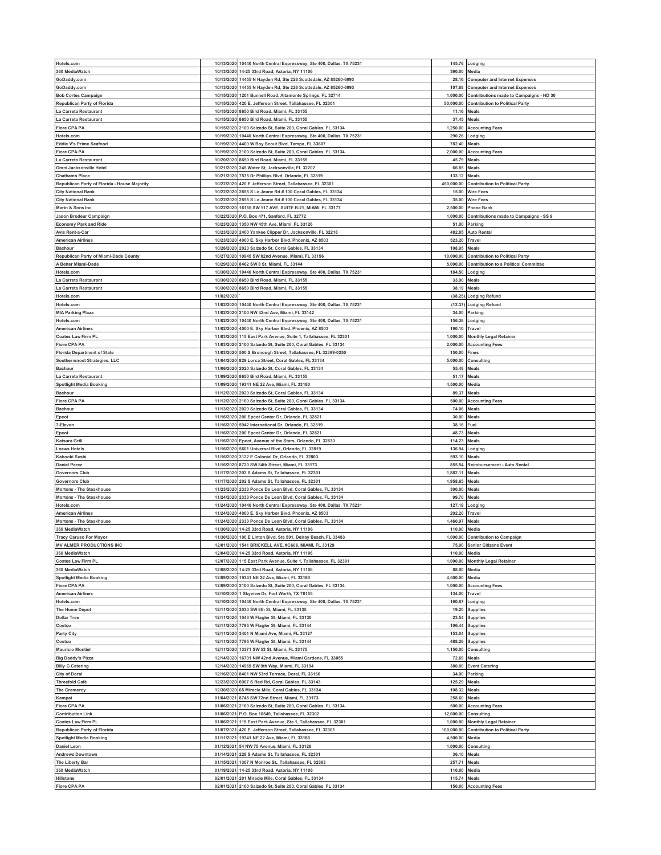| Hotels.com                                   |            | 10/13/2020 10440 North Central Expressway, Ste 400, Dallas, TX 75231                                      | 145.76           |                                              |
|----------------------------------------------|------------|-----------------------------------------------------------------------------------------------------------|------------------|----------------------------------------------|
|                                              |            |                                                                                                           |                  | Lodging                                      |
| 360 MediaWatch                               | 10/13/2020 | 14-25 33rd Road, Astoria, NY 11106                                                                        | 390.00           | Media                                        |
| GoDaddy.com                                  |            | 10/13/2020 14455 N Hayden Rd, Ste 226 Scottsdale, AZ 85260-6993                                           | 28.16            | <b>Computer and Internet Expenses</b>        |
| GoDaddy.com                                  |            | 10/13/2020 14455 N Hayden Rd, Ste 226 Scottsdale, AZ 85260-6993                                           | 107.88           | <b>Computer and Internet Expenses</b>        |
| <b>Bob Cortes Campaign</b>                   | 10/15/2020 | 1201 Bunnell Road, Altamonte Springs, FL 32714                                                            | 1,000.00         | Contributions made to Campaigns - HD 30      |
|                                              |            |                                                                                                           |                  |                                              |
| Republican Party of Florida                  | 10/15/2020 | 420 E. Jefferson Street, Tallahassee, FL 32301                                                            | 50,000.00        | <b>Contribution to Political Party</b>       |
| La Carreta Restaurant                        | 10/15/2020 | 8650 Bird Road, Miami, FL 33155                                                                           | 11.16            | Meals                                        |
| La Carreta Restaurant                        |            | 10/15/2020 8650 Bird Road, Miami, FL 33155                                                                | 37.45            | Meals                                        |
| <b>Fiore CPA PA</b>                          | 10/15/2020 | 2100 Salzedo St, Suite 200, Coral Gables, FL 33134                                                        | 1,250.00         | <b>Accounting Fees</b>                       |
|                                              | 10/19/2020 |                                                                                                           |                  |                                              |
| Hotels.com                                   |            | 10440 North Central Expressway, Ste 400, Dallas, TX 75231                                                 | 290.26           | Lodging                                      |
| Eddie V's Prime Seafood                      | 10/19/2020 | 4400 W Boy Scout Blvd, Tampa, FL 33607                                                                    | 782.40           | Meals                                        |
| <b>Fiore CPA PA</b>                          |            | 10/19/2020 2100 Salzedo St, Suite 200, Coral Gables, FL 33134                                             | 2,000.00         | <b>Accounting Fees</b>                       |
| La Carreta Restaurant                        | 10/20/2020 | 8650 Bird Road, Miami, FL 33155                                                                           | 45.79            | Meals                                        |
| Omni Jacksonville Hotel                      |            | 10/21/2020 245 Water St, Jacksonville, FL 32202                                                           | 66.85            | Meals                                        |
|                                              |            |                                                                                                           |                  |                                              |
| <b>Chathams Place</b>                        | 10/21/2020 | 7575 Dr Phillips Blvd, Orlando, FL 32819                                                                  | 133.12           | Meals                                        |
| Republican Party of Florida - House Majority |            | 10/22/2020 420 E Jefferson Street, Tallahassee, FL 32301                                                  | 450,000.00       | <b>Contribution to Political Party</b>       |
| <b>City National Bank</b>                    | 10/22/2020 | 2855 S Le Jeune Rd # 100 Coral Gables, FL 33134                                                           | 15.00            | Wire Fees                                    |
| <b>City National Bank</b>                    |            | 10/22/2020 2855 S Le Jeune Rd # 100 Coral Gables, FL 33134                                                | 35.00            | <b>Wire Fees</b>                             |
|                                              |            |                                                                                                           |                  |                                              |
| Marin & Sons Inc                             | 10/22/2020 | 16155 SW 117 AVE, SUITE B-21, MIAMI, FL 33177                                                             | 2,500.00         | <b>Phone Bank</b>                            |
| Jason Brodeur Campaign                       |            | 10/22/2020 P.O. Box 471, Sanford, FL 32772                                                                | 1,000.00         | Contributions made to Campaigns - SS 9       |
| <b>Economy Park and Ride</b>                 | 10/23/2020 | 1350 NW 45th Ave, Miami, FL 33126                                                                         | 51.00            | Parking                                      |
| Avis Rent-a-Car                              | 10/23/2020 | 2400 Yankee Clipper Dr, Jacksonville, FL 32218                                                            | 482.85           | Auto Rental                                  |
|                                              |            |                                                                                                           |                  |                                              |
| <b>American Airlines</b>                     | 10/23/2020 | 4000 E. Sky Harbor Blvd. Phoenix, AZ 8503                                                                 | 523.20           | 'ravel                                       |
| <b>Bachour</b>                               |            | 10/26/2020 2020 Salzedo St, Coral Gables, FL 33134                                                        | 108.95           | Meals                                        |
| Republican Party of Miami-Dade County        | 10/27/2020 | 10945 SW 82nd Avenue, Miami, FL 33156                                                                     | 10,000.00        | <b>Contribution to Political Party</b>       |
| A Better Miami-Dade                          | 10/29/2020 | 8462 SW 8 St, Miami, FL 33144                                                                             | 5,000.00         | <b>Contribution to a Political Committee</b> |
|                                              |            |                                                                                                           |                  |                                              |
| Hotels.com                                   | 10/30/2020 | 10440 North Central Expressway, Ste 400, Dallas, TX 75231                                                 | 184.50           | Lodging                                      |
| La Carreta Restaurant                        | 10/30/2020 | 8650 Bird Road, Miami, FL 33155                                                                           | 33.90            | Meals                                        |
| La Carreta Restaurant                        | 10/30/2020 | 8650 Bird Road, Miami, FL 33155                                                                           | 38.19            | Meals                                        |
| Hotels.com                                   | 11/02/2020 |                                                                                                           | (38.25)          | <b>Lodging Refund</b>                        |
|                                              |            |                                                                                                           |                  |                                              |
| Hotels.com                                   |            | 11/02/2020 10440 North Central Expressway, Ste 400, Dallas, TX 75231                                      | (12.37)          | <b>Lodging Refund</b>                        |
| <b>MIA Parking Plaza</b>                     | 11/02/2020 | 2100 NW 42nd Ave, Miami, FL 33142                                                                         | 34.00            | Parking                                      |
| Hotels.com                                   |            | 11/02/2020 10440 North Central Expressway, Ste 400, Dallas, TX 75231                                      | 156.38           | Lodging                                      |
| <b>American Airlines</b>                     | 11/02/2020 | 4000 E. Sky Harbor Blvd. Phoenix, AZ 8503                                                                 | 190.10           | Travel                                       |
|                                              |            |                                                                                                           |                  |                                              |
| <b>Coates Law Firm PL</b>                    |            | 11/03/2020 115 East Park Avenue, Suite 1, Tallahassee, FL 32301                                           | 1,000.00         | <b>Monthly Legal Retainer</b>                |
| <b>Fiore CPA PA</b>                          | 11/03/2020 | 2100 Salzedo St, Suite 200, Coral Gables, FL 33134                                                        | 2,000.00         | <b>Accounting Fees</b>                       |
| <b>Florida Department of State</b>           |            | 11/03/2020 500 S Bronough Street, Tallahassee, FL 32399-0250                                              | 150.00           | Fines                                        |
| Southernmost Strategies, LLC                 | 11/04/2020 | 829 Lorca Street, Coral Gables, FL 33134                                                                  | 5,000.00         | Consulting                                   |
|                                              |            |                                                                                                           |                  |                                              |
| <b>Bachour</b>                               | 11/06/2020 | 2020 Salzedo St, Coral Gables, FL 33134                                                                   | 55.48            | Meals                                        |
| La Carreta Restaurant                        | 11/09/2020 | 8650 Bird Road, Miami, FL 33155                                                                           | 51.17            | Meals                                        |
| <b>Spotlight Media Booking</b>               |            | 11/09/2020 19341 NE 22 Ave, Miami, FL 33180                                                               | 4,500.00         | Media                                        |
| <b>Bachour</b>                               |            | 11/12/2020 2020 Salzedo St, Coral Gables, FL 33134                                                        | 89.37            | Meals                                        |
|                                              |            |                                                                                                           |                  |                                              |
| <b>Fiore CPA PA</b>                          |            | 11/12/2020 2100 Salzedo St, Suite 200, Coral Gables, FL 33134                                             | 500.00           | <b>Accounting Fees</b>                       |
| <b>Bachour</b>                               | 11/13/2020 | 2020 Salzedo St, Coral Gables, FL 33134                                                                   | 74.06            | Meals                                        |
| Epcot                                        |            | 11/16/2020 200 Epcot Center Dr, Orlando, FL 32821                                                         | 30.00            | Meals                                        |
| -Eleven                                      | 11/16/2020 | 5942 International Dr, Orlando, FL 32819                                                                  | 38.16            | Fuel                                         |
|                                              |            | 11/16/2020 200 Epcot Center Dr, Orlando, FL 32821                                                         | 48.73            | Meals                                        |
| Epcot                                        |            |                                                                                                           |                  |                                              |
| <b>Katsura Grill</b>                         | 11/16/2020 | Epcot, Avenue of the Stars, Orlando, FL 32830                                                             | 114.23           | Meals                                        |
| <b>Loews Hotels</b>                          |            | 11/16/2020 5601 Universal Blvd, Orlando, FL 32819                                                         | 136.94           | .odging                                      |
| Kabooki Sushi                                | 11/16/2020 | 3122 E Colonial Dr, Orlando, FL 32803                                                                     | 593.10           | Meals                                        |
| <b>Daniel Perez</b>                          |            | 11/16/2020 8720 SW 84th Street, Miami, FL 33173                                                           | 855.54           | Reimbursement - Auto Rental                  |
|                                              |            |                                                                                                           |                  |                                              |
| <b>Governors Club</b>                        | 11/17/2020 | 202 S Adams St, Tallahassee, FL 32301                                                                     | 1,882.11         | Meals                                        |
| <b>Governors Club</b>                        | 11/17/2020 | 202 S Adams St, Tallahassee, FL 32301                                                                     | 1,958.65         | Meals                                        |
| <b>Mortons - The Steakhouse</b>              |            | 11/23/2020 2333 Ponce De Leon Blvd, Coral Gables, FL 33134                                                | 300.00           | Meals                                        |
| <b>Mortons - The Steakhouse</b>              |            | 11/24/2020 2333 Ponce De Leon Blvd, Coral Gables, FL 33134                                                | 99.70            | Meals                                        |
|                                              |            |                                                                                                           |                  |                                              |
| Hotels.com                                   | 11/24/2020 | 10440 North Central Expressway, Ste 400, Dallas, TX 75231                                                 | 127.19           | Lodging                                      |
| <b>American Airlines</b>                     | 11/24/2020 | 4000 E. Sky Harbor Blvd. Phoenix, AZ 8503                                                                 | 202.20           | Travel                                       |
| <b>Mortons - The Steakhouse</b>              | 11/24/2020 | 2333 Ponce De Leon Blvd, Coral Gables, FL 33134                                                           | 1,460.97         | Meals                                        |
| 360 MediaWatch                               |            | 11/30/2020 14-25 33rd Road, Astoria, NY 11106                                                             | 110.00           | Media                                        |
|                                              |            |                                                                                                           |                  |                                              |
| <b>Tracy Caruso For Mayor</b>                |            | 11/30/2020 100 E Linton Blvd, Ste 501, Delray Beach, FL 33483                                             | 1,000.00         | <b>Contribution to Campaign</b>              |
| <b>MV ALMER PRODUCTIONS INC</b>              |            | 12/01/2020 1541 BRICKELL AVE, #C606, MIAMI, FL 33129                                                      |                  | 75.00 Senior Citizens Event                  |
| 360 MediaWatch                               |            | 12/04/2020 14-25 33rd Road, Astoria, NY 11106                                                             | 110.00           | Media                                        |
| <b>Coates Law Firm PL</b>                    | 12/07/2020 | 115 East Park Avenue, Suite 1, Tallahassee, FL 32301                                                      | 1,000.00         | <b>Monthly Legal Retainer</b>                |
|                                              |            |                                                                                                           |                  | Media                                        |
| 360 MediaWatch                               |            | 12/08/2020 14-25 33rd Road, Astoria, NY 11106                                                             | 88.00            |                                              |
| <b>Spotlight Media Booking</b>               | 12/09/2020 | 19341 NE 22 Ave, Miami, FL 33180                                                                          | 4,500.00         | Media                                        |
| <b>Fiore CPA PA</b>                          |            | 12/09/2020 2100 Salzedo St, Suite 200, Coral Gables, FL 33134                                             | 1,000.00         | <b>Accounting Fees</b>                       |
| <b>American Airlines</b>                     | 12/10/2020 | 1 Skyview Dr, Fort Worth, TX 76155                                                                        | 134.00           | Travel                                       |
| Hotels.com                                   |            | 12/10/2020 10440 North Central Expressway, Ste 400, Dallas, TX 75231                                      | 160.87           | Lodging                                      |
|                                              |            | 3030 SW 8th St, Miami, FL 33135                                                                           |                  |                                              |
| <b>The Home Depot</b>                        | 12/11/2020 |                                                                                                           | 19.20            | Supplies                                     |
| <b>Dollar Tree</b>                           |            | 12/11/2020 1043 W Flagler St, Miami, FL 33130                                                             | 23.54            | <b>Supplies</b>                              |
| Costco                                       |            | 12/11/2020 7795 W Flagler St, Miami, FL 33144                                                             | 106.44           | <b>Supplies</b>                              |
| <b>Party City</b>                            | 12/11/2020 | 3401 N Miami Ave, Miami, FL 33127                                                                         | 153.04           | Supplies                                     |
|                                              |            |                                                                                                           |                  |                                              |
| Costco                                       | 12/11/2020 | 7795 W Flagler St, Miami, FL 33144                                                                        | 488.26           | Supplies                                     |
| <b>Mauricio Montiel</b>                      | 12/11/2020 | 13371 SW 53 St, Miami, FL 33175                                                                           | 1,150.00         | Consulting                                   |
| <b>Big Daddy's Pizza</b>                     |            |                                                                                                           |                  |                                              |
| <b>Billy G Catering</b>                      | 12/14/2020 | 16701 NW 42nd Avenue, Miami Gardens, FL 33055                                                             | 72.69            | Meals                                        |
|                                              |            |                                                                                                           |                  |                                              |
| <b>City of Doral</b>                         |            | 12/14/2020 14969 SW 9th Way, Miami, FL 33194                                                              | 380.00           | <b>Event Catering</b>                        |
|                                              | 12/16/2020 | 8401 NW 53rd Terrace, Doral, FL 33166                                                                     | 34.00            | Parking                                      |
| <b>Threefold Café</b>                        | 12/23/2020 | 6907 S Red Rd, Coral Gables, FL 33143                                                                     | 125.29           | Meals                                        |
| <b>The Gramercy</b>                          | 12/30/2020 | 65 Miracle Mile, Coral Gables, FL 33134                                                                   | 108.32           | Meals                                        |
|                                              | 01/04/2021 | 8745 SW 72nd Street, Miami, FL 33173                                                                      | 258.60           | Meals                                        |
| Kampai                                       |            |                                                                                                           |                  |                                              |
| <b>Fiore CPA PA</b>                          | 01/06/2021 | 2100 Salzedo St, Suite 200, Coral Gables, FL 33134                                                        | 500.00           | <b>Accounting Fees</b>                       |
| <b>Contribution Link</b>                     | 01/06/2021 | P.O. Box 10549, Tallahassee, FL 32302                                                                     | 12,000.00        | Consulting                                   |
| Coates Law Firm PL                           | 01/06/2021 | 115 East Park Avenue, Ste 1, Tallahassee, FL 32301                                                        | 1,000.00         | <b>Monthly Legal Retainer</b>                |
|                                              |            |                                                                                                           |                  |                                              |
| <b>Republican Party of Florida</b>           | 01/07/2021 | 420 E. Jefferson Street, Tallahassee, FL 32301                                                            | 100,000.00       | <b>Contribution to Political Party</b>       |
| <b>Spotlight Media Booking</b>               | 01/11/2021 | 19341 NE 22 Ave, Miami, FL 33180                                                                          | 4,500.00         | Media                                        |
| <b>Daniel Leon</b>                           | 01/12/2021 | 54 NW 75 Avenue, Miami, FL 33126                                                                          | 1,000.00         | Consulting                                   |
| <b>Andrews Downtown</b>                      |            | 01/14/2021 228 S Adams St, Tallahassee, FL 32301                                                          | 36.10            | Meals                                        |
|                                              | 01/15/2021 |                                                                                                           |                  |                                              |
| The Liberty Bar                              |            | 1307 N Monroe St., Tallahassee, FL 32303                                                                  | 257.71           | Meals                                        |
| 360 MediaWatch                               |            | 01/19/2021 14-25 33rd Road, Astoria, NY 11106                                                             | 110.00           | Media                                        |
| Hillstone<br><b>Fiore CPA PA</b>             | 02/01/2021 | 201 Miracle Mile, Coral Gables, FL 33134<br>02/01/2021 2100 Salzedo St, Suite 200, Coral Gables, FL 33134 | 115.74<br>150.00 | Meals<br><b>Accounting Fees</b>              |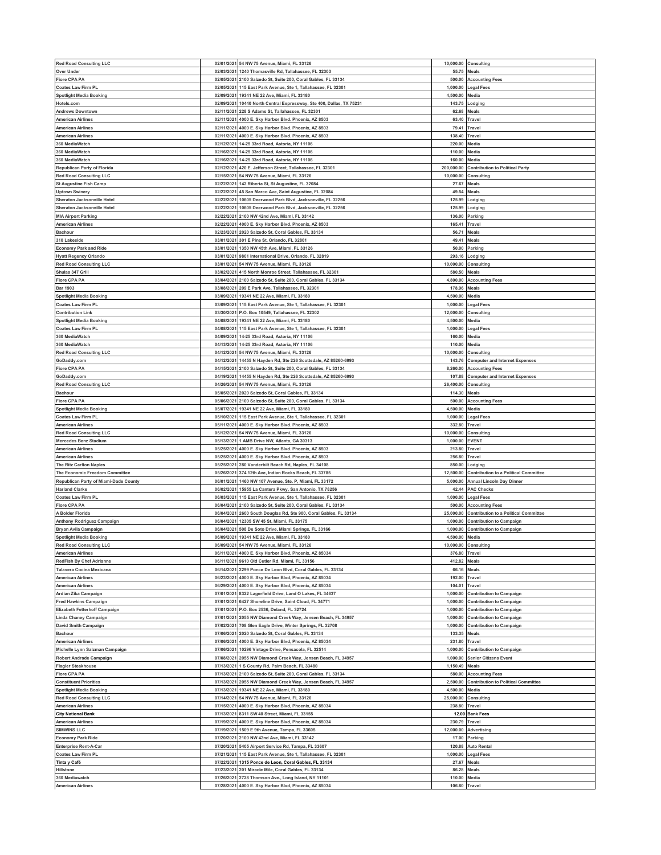| <b>Red Road Consulting LLC</b>                                 |                          | 02/01/2021 54 NW 75 Avenue, Miami, FL 33126                                                                  | 10,000.00               | Consulting                                   |
|----------------------------------------------------------------|--------------------------|--------------------------------------------------------------------------------------------------------------|-------------------------|----------------------------------------------|
| <b>Over Under</b>                                              | 02/03/2021               | 1240 Thomasville Rd, Tallahassee, FL 32303                                                                   | 55.75                   | Meals                                        |
| <b>Fiore CPA PA</b>                                            | 02/05/2021               | 2100 Salzedo St, Suite 200, Coral Gables, FL 33134                                                           | 500.00                  |                                              |
|                                                                | 02/05/2021               |                                                                                                              |                         | <b>Accounting Fees</b>                       |
| <b>Coates Law Firm PL</b>                                      |                          | 115 East Park Avenue, Ste 1, Tallahassee, FL 32301                                                           | 1,000.00                | Legal Fees                                   |
| <b>Spotlight Media Booking</b>                                 | 02/09/2021               | 19341 NE 22 Ave, Miami, FL 33180                                                                             | 4,500.00                | Media                                        |
| Hotels.com                                                     | 02/09/2021               | 10440 North Central Expressway, Ste 400, Dallas, TX 75231                                                    | 143.75                  | Lodging                                      |
| <b>Andrews Downtown</b>                                        | 02/11/2021               | 228 S Adams St, Tallahassee, FL 32301                                                                        | 62.68                   | Meals                                        |
| <b>American Airlines</b>                                       |                          | 02/11/2021 4000 E. Sky Harbor Blvd. Phoenix, AZ 8503                                                         | 63.40                   | Travel                                       |
| <b>American Airlines</b>                                       | 02/11/2021               | 4000 E. Sky Harbor Blvd. Phoenix, AZ 8503                                                                    | 79.41                   | Travel                                       |
| <b>American Airlines</b>                                       | 02/11/2021               | 4000 E. Sky Harbor Blvd. Phoenix, AZ 8503                                                                    | 138.40                  | Travel                                       |
| 360 MediaWatch                                                 | 02/12/2021               | 14-25 33rd Road, Astoria, NY 11106                                                                           | 220.00                  | Media                                        |
| 360 MediaWatch                                                 | 02/16/2021               | 14-25 33rd Road, Astoria, NY 11106                                                                           | 110.00                  | Media                                        |
| 360 MediaWatch                                                 | 02/16/2021               | 14-25 33rd Road, Astoria, NY 11106                                                                           | 160.00                  | Media                                        |
| Republican Party of Florida                                    | 02/12/2021               | 420 E. Jefferson Street, Tallahassee, FL 32301                                                               | 200,000.00              | <b>Contribution to Political Party</b>       |
| <b>Red Road Consulting LLC</b>                                 | 02/15/2021               | 54 NW 75 Avenue, Miami, FL 33126                                                                             | 10,000.00               | Consulting                                   |
| <b>St Augustine Fish Camp</b>                                  | 02/22/2021               | 142 Riberia St, St Augustine, FL 32084                                                                       | 27.67                   | Meals                                        |
| Jptown Swinery                                                 | 02/22/2021               | 45 San Marco Ave, Saint Augustine, FL 32084                                                                  | 49.54                   | Meals                                        |
| Sheraton Jacksonville Hotel                                    | 02/22/2021               | 10605 Deerwood Park Blvd, Jacksonville, FL 32256                                                             | 125.99                  | Lodging                                      |
| Sheraton Jacksonville Hotel                                    | 02/22/2021               | 10605 Deerwood Park Blvd, Jacksonville, FL 32256                                                             | 125.99                  | .odging                                      |
| <b>MIA Airport Parking</b>                                     | 02/22/2021               | 2100 NW 42nd Ave, Miami, FL 33142                                                                            | 136.00                  | Parking                                      |
| <b>American Airlines</b>                                       | 02/22/2021               | 4000 E. Sky Harbor Blvd. Phoenix, AZ 8503                                                                    | 165.41                  | Travel                                       |
| Bachour                                                        | 02/23/2021               | 2020 Salzedo St, Coral Gables, FL 33134                                                                      | 56.71                   | Meals                                        |
| 310 Lakeside                                                   | 03/01/2021               | 301 E Pine St, Orlando, FL 32801                                                                             | 49.41                   | Meals                                        |
|                                                                | 03/01/2021               | 1350 NW 45th Ave, Miami, FL 33126                                                                            | 50.00                   |                                              |
| <b>Economy Park and Ride</b>                                   | 03/01/2021               |                                                                                                              | 293.16                  | Parking                                      |
| <b>Hyatt Regency Orlando</b><br><b>Red Road Consulting LLC</b> | 03/01/2021               | 9801 International Drive, Orlando, FL 32819<br>54 NW 75 Avenue, Miami, FL 33126                              | 10,000.00               | .odging                                      |
|                                                                |                          |                                                                                                              |                         | Consulting                                   |
| Shulas 347 Grill                                               | 03/02/2021               | 415 North Monroe Street, Tallahassee, FL 32301                                                               | 580.50                  | Meals                                        |
| <b>Fiore CPA PA</b>                                            | 03/04/2021               | 2100 Salzedo St. Suite 200, Coral Gables, FL 33134                                                           | 4,800.00                | <b>Accounting Fees</b>                       |
| <b>Bar 1903</b>                                                | 03/08/2021               | 209 E Park Ave. Tallahassee. FL 32301                                                                        | 178.96                  | Meals                                        |
| <b>Spotlight Media Booking</b>                                 | 03/09/2021               | 19341 NE 22 Ave, Miami, FL 33180                                                                             | 4,500.00                | Media                                        |
| <b>Coates Law Firm PL</b>                                      | 03/09/2021               | 115 East Park Avenue, Ste 1, Tallahassee, FL 32301                                                           | 1,000.00                | Legal Fees                                   |
| <b>Contribution Link</b>                                       | 03/30/2021               | P.O. Box 10549, Tallahassee, FL 32302                                                                        | 12,000.00               | Consulting                                   |
| <b>Spotlight Media Booking</b>                                 |                          | 04/08/2021 19341 NE 22 Ave, Miami, FL 33180                                                                  | 4,500.00                | Media                                        |
| <b>Coates Law Firm PL</b>                                      | 04/08/2021               | 115 East Park Avenue, Ste 1, Tallahassee, FL 32301                                                           | 1,000.00                | egal Fees                                    |
| 360 MediaWatch                                                 |                          | 04/09/2021 14-25 33rd Road, Astoria, NY 11106                                                                | 160.00                  | Media                                        |
| 360 MediaWatch                                                 | 04/13/2021               | 14-25 33rd Road, Astoria, NY 11106                                                                           | 110.00                  | Media                                        |
| <b>Red Road Consulting LLC</b>                                 |                          | 04/12/2021 54 NW 75 Avenue, Miami, FL 33126                                                                  | 10,000.00               | Consulting                                   |
| GoDaddy.com                                                    | 04/12/2021               | 14455 N Hayden Rd, Ste 226 Scottsdale, AZ 85260-6993                                                         | 143.76                  | <b>Computer and Internet Expenses</b>        |
| <b>Fiore CPA PA</b>                                            | 04/15/2021               | 2100 Salzedo St, Suite 200, Coral Gables, FL 33134                                                           | 8,260.00                | <b>Accounting Fees</b>                       |
| GoDaddy.com                                                    | 04/19/2021               | 14455 N Hayden Rd, Ste 226 Scottsdale, AZ 85260-6993                                                         | 107.88                  | <b>Computer and Internet Expenses</b>        |
| <b>Red Road Consulting LLC</b>                                 |                          | 04/26/2021 54 NW 75 Avenue, Miami, FL 33126                                                                  | 26,400.00               | Consulting                                   |
| <b>Bachour</b>                                                 |                          | 05/05/2021 2020 Salzedo St, Coral Gables, FL 33134                                                           | 114.30                  | Meals                                        |
| <b>Fiore CPA PA</b>                                            |                          | 05/06/2021 2100 Salzedo St, Suite 200, Coral Gables, FL 33134                                                | 500.00                  | <b>Accounting Fees</b>                       |
|                                                                |                          |                                                                                                              |                         |                                              |
| <b>Spotlight Media Booking</b><br><b>Coates Law Firm PL</b>    | 05/07/2021<br>05/10/2021 | 19341 NE 22 Ave, Miami, FL 33180                                                                             | 4,500.00                | Media                                        |
|                                                                | 05/11/2021               | 115 East Park Avenue, Ste 1, Tallahassee, FL 32301<br>4000 E. Sky Harbor Blvd. Phoenix, AZ 8503              | 1,000.00<br>332.80      | Legal Fees                                   |
| <b>American Airlines</b>                                       |                          |                                                                                                              |                         | Travel                                       |
| <b>Red Road Consulting LLC</b>                                 | 05/12/2021               | 54 NW 75 Avenue, Miami, FL 33126                                                                             | 10,000.00               | Consulting                                   |
| <b>Mercedes Benz Stadium</b>                                   | 05/13/2021               | 1 AMB Drive NW, Atlanta, GA 30313                                                                            | 1,000.00                | EVENT                                        |
| <b>American Airlines</b>                                       | 05/25/2021               | 4000 E. Sky Harbor Blvd. Phoenix, AZ 8503                                                                    | 213.80                  | Travel                                       |
| <b>American Airlines</b>                                       | 05/25/2021               | 4000 E. Sky Harbor Blvd. Phoenix, AZ 8503                                                                    | 256.80                  | Travel                                       |
| The Ritz Carlton Naples                                        | 05/25/2021               | 280 Vanderbilt Beach Rd, Naples, FL 34108                                                                    | 850.00                  | Lodging                                      |
|                                                                |                          |                                                                                                              |                         | <b>Contribution to a Political Committee</b> |
| The Economic Freedom Committee                                 | 05/26/202                | 374 12th Ave, Indian Rocks Beach, FL 33785                                                                   | 12,500.00               |                                              |
| Republican Party of Miami-Dade County                          | 06/01/2021               | 1460 NW 107 Avenue, Ste. P, Miami, FL 33172                                                                  | 5,000.00                | Annual Lincoln Day Dinner                    |
| <b>Harland Clarke</b>                                          | 06/02/2021               | 15955 La Cantera Pkwy, San Antonio, TX 78256                                                                 | 42.44                   | <b>PAC Checks</b>                            |
| <b>Coates Law Firm PL</b>                                      | 06/03/2021               | 115 East Park Avenue, Ste 1, Tallahassee, FL 32301                                                           | 1,000.00                | Legal Fees                                   |
| <b>Fiore CPA PA</b>                                            | 06/04/2021               | 2100 Salzedo St, Suite 200, Coral Gables, FL 33134                                                           | 500.00                  | <b>Accounting Fees</b>                       |
| A Bolder Florida                                               | 06/04/2021               | 2600 South Douglas Rd, Ste 900, Coral Gables, FL 33134                                                       | 25.000.00               | <b>Contribution to a Political Committee</b> |
| Anthony Rodriguez Campaign                                     | 06/04/2021               | 12305 SW 45 St, Miami, FL 33175                                                                              | 1,000.00                | <b>Contribution to Campaign</b>              |
| Bryan Avila Campaign                                           | 06/04/2021               | 508 De Soto Drive, Miami Springs, FL 33166                                                                   | 1,000.00                | <b>Contribution to Campaign</b>              |
|                                                                |                          | 06/09/2021 19341 NE 22 Ave, Miami, FL 33180                                                                  | 4,500.00 Media          |                                              |
| <b>Red Road Consulting LLC</b>                                 |                          | 06/09/2021 54 NW 75 Avenue, Miami, FL 33126                                                                  |                         | 10,000.00 Consulting                         |
| <b>American Airlines</b>                                       |                          | 06/11/2021 4000 E. Sky Harbor Blvd, Phoenix, AZ 85034                                                        | 376.80                  | Travel                                       |
| <b>RedFish By Chef Adrianne</b>                                | 06/11/2021               | 9610 Old Cutler Rd, Miami, FL 33156                                                                          | 412.82                  | Meals                                        |
| <b>Talavera Cocina Mexicana</b>                                | 06/14/2021               | 2299 Ponce De Leon Blvd, Coral Gables, FL 33134                                                              | 66.16                   | Meals                                        |
| <b>American Airlines</b>                                       | 06/23/2021               | 4000 E. Sky Harbor Blvd, Phoenix, AZ 85034                                                                   | 192.00                  | Travel                                       |
| <b>American Airlines</b>                                       | 06/29/2021               | 4000 E. Sky Harbor Blvd, Phoenix, AZ 85034                                                                   | 104.01                  | Travel                                       |
| Ardian Zika Campaign                                           | 07/01/2021               | 8322 Lagerfield Drive, Land O Lakes, FL 34637                                                                | 1,000.00                | <b>Contribution to Campaign</b>              |
| <b>Fred Hawkins Campaign</b>                                   |                          | 07/01/2021 6427 Shoreline Drive, Saint Cloud, FL 34771                                                       | 1,000.00                | <b>Contribution to Campaign</b>              |
| Elizabeth Fetterhoff Campaign                                  | 07/01/2021               | P.O. Box 2536, Deland, FL 32724                                                                              | 1,000.00                | <b>Contribution to Campaign</b>              |
| Linda Chaney Campaign                                          |                          | 07/01/2021 2055 NW Diamond Creek Way, Jensen Beach, FL 34957                                                 | 1,000.00                | <b>Contribution to Campaign</b>              |
| <b>David Smith Campaign</b>                                    | 07/02/2021               | 708 Glen Eagle Drive, Winter Springs, FL 32708                                                               | 1,000.00                | <b>Contribution to Campaign</b>              |
| <b>Bachour</b>                                                 | 07/06/2021               | 2020 Salzedo St, Coral Gables, FL 33134                                                                      | 133.35                  | Meals                                        |
| <b>American Airlines</b>                                       | 07/06/2021               | 4000 E. Sky Harbor Blvd, Phoenix, AZ 85034                                                                   | 231.80                  | Travel                                       |
| Michelle Lynn Salzman Campaign                                 | 07/06/2021               | 10296 Vintage Drive, Pensacola, FL 32514                                                                     | 1,000.00                | <b>Contribution to Campaign</b>              |
|                                                                |                          |                                                                                                              |                         |                                              |
| Robert Andrade Campaign                                        | 07/08/2021               | 2055 NW Diamond Creek Way, Jensen Beach, FL 34957                                                            | 1,000.00                | <b>Senior Citizens Event</b>                 |
| <b>Flagler Steakhouse</b>                                      | 07/13/2021               | 1 S County Rd, Palm Beach, FL 33480                                                                          | 1,150.49                | Meals                                        |
| Fiore CPA PA                                                   | 07/13/2021               | 2100 Salzedo St, Suite 200, Coral Gables, FL 33134                                                           | 580.00                  | <b>Accounting Fees</b>                       |
| <b>Constituent Priorities</b>                                  | 07/13/2021               | 2055 NW Diamond Creek Way, Jensen Beach, FL 34957                                                            | 2,500.00                | <b>Contribution to Political Committee</b>   |
| <b>Spotlight Media Booking</b>                                 | 07/13/2021               | 19341 NE 22 Ave, Miami, FL 33180                                                                             | 4,500.00                | Media                                        |
| <b>Red Road Consulting LLC</b>                                 | 07/14/2021               | 54 NW 75 Avenue, Miami, FL 33126                                                                             | 25,000.00               | Consulting                                   |
| <b>American Airlines</b>                                       | 07/15/2021               | 4000 E. Sky Harbor Blvd, Phoenix, AZ 85034                                                                   | 238.80                  | Travel                                       |
| <b>City National Bank</b>                                      | 07/13/2021               | 8311 SW 40 Street, Miami, FL 33155                                                                           | 12.00                   | <b>Bank Fees</b>                             |
| <b>American Airlines</b>                                       | 07/19/2021               | 4000 E. Sky Harbor Blvd, Phoenix, AZ 85034                                                                   | 230.79                  | Travel                                       |
| <b>SIMWINS LLC</b>                                             | 07/19/2021               | 1509 E 9th Avenue, Tampa, FL 33605                                                                           | 12,000.00               | Advertising                                  |
| <b>Economy Park Ride</b>                                       | 07/20/2021               | 2100 NW 42nd Ave, Miami, FL 33142                                                                            | 17.00                   | Parking                                      |
| <b>Enterprise Rent-A-Car</b>                                   | 07/20/2021               | 5405 Airport Service Rd, Tampa, FL 33607                                                                     | 120.88                  | <b>Auto Rental</b>                           |
| <b>Coates Law Firm PL</b>                                      |                          | 07/21/2021 115 East Park Avenue, Ste 1, Tallahassee, FL 32301                                                | 1,000.00                | Legal Fees                                   |
| Tinta y Café                                                   | 07/22/2021               | 1315 Ponce de Leon, Coral Gables, FL 33134                                                                   | 27.67                   | Meals                                        |
| <b>Spotlight Media Booking</b><br>Hillstone                    |                          | 07/23/2021 201 Miracle Mile, Coral Gables, FL 33134                                                          | 86.28                   | Meals                                        |
| 360 Mediawatch<br><b>American Airlines</b>                     |                          | 07/26/2021 2728 Thomson Ave., Long Island, NY 11101<br>07/28/2021 4000 E. Sky Harbor Blvd, Phoenix, AZ 85034 | 110.00<br>106.80 Travel | Media                                        |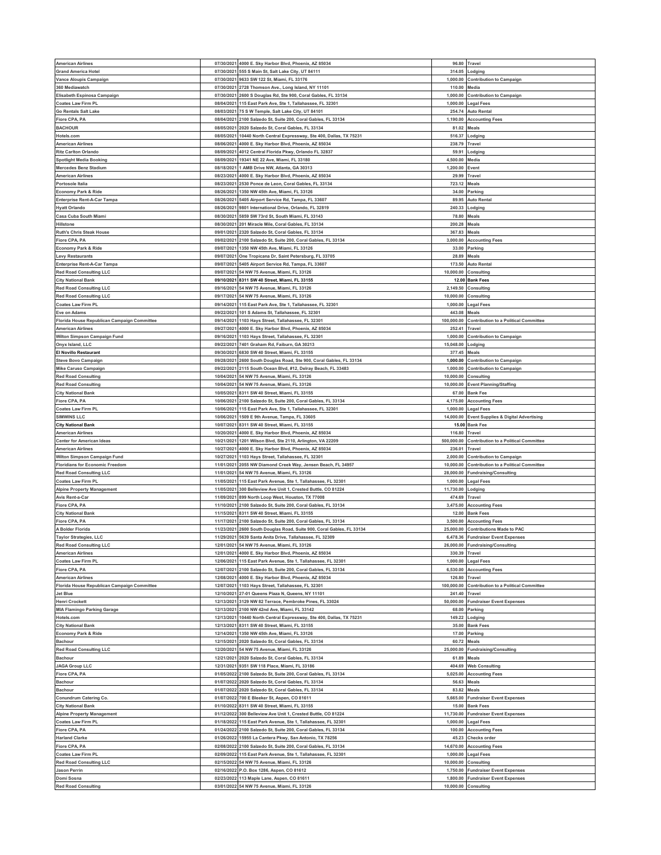| <b>American Airlines</b>                    |            | 07/30/2021 4000 E. Sky Harbor Blvd, Phoenix, AZ 85034                          | 96.80                 | Travel                                          |
|---------------------------------------------|------------|--------------------------------------------------------------------------------|-----------------------|-------------------------------------------------|
| <b>Grand America Hotel</b>                  |            | 07/30/2021 555 S Main St, Salt Lake City, UT 84111                             | 314.05                | Lodging                                         |
| Vance Aloupis Campaign                      |            | 07/30/2021 9633 SW 122 St, Miami, FL 33176                                     | 1,000.00              | <b>Contribution to Campaign</b>                 |
| 360 Mediawatch                              | 07/30/2021 | 2728 Thomson Ave., Long Island, NY 11101                                       | 110.00                | Media                                           |
| Elisabeth Espinosa Campaign                 | 07/30/2021 | 2600 S Douglas Rd, Ste 900, Coral Gables, FL 33134                             | 1,000.00              | <b>Contribution to Campaign</b>                 |
| <b>Coates Law Firm PL</b>                   | 08/04/2021 | 115 East Park Ave, Ste 1, Tallahassee, FL 32301                                | 1,000.00              | Legal Fees                                      |
|                                             |            |                                                                                |                       |                                                 |
| <b>Go Rentals Salt Lake</b>                 |            | 08/03/2021 75 S W Temple, Salt Lake City, UT 84101                             | 254.74                | <b>Auto Rental</b>                              |
| Fiore CPA, PA                               | 08/04/2021 | 2100 Salzedo St, Suite 200, Coral Gables, FL 33134                             | 1,190.00              | <b>Accounting Fees</b>                          |
| <b>BACHOUR</b>                              | 08/05/2021 | 2020 Salzedo St, Coral Gables, FL 33134                                        | 81.02                 | Meals                                           |
| Hotels.com                                  | 08/05/2021 | 10440 North Central Expressway, Ste 400, Dallas, TX 75231                      | 516.37                | .odging                                         |
| <b>American Airlines</b>                    | 08/06/2021 | 4000 E. Sky Harbor Blvd, Phoenix, AZ 85034                                     | 238.79                | Travel                                          |
| <b>Ritz Carlton Orlando</b>                 | 08/09/2021 | 4012 Central Florida Pkwy, Orlando FL 32837                                    | 59.91                 | odging.                                         |
| <b>Spotlight Media Booking</b>              | 08/09/2021 | 19341 NE 22 Ave, Miami, FL 33180                                               | 4,500.00              | Media                                           |
|                                             |            |                                                                                |                       |                                                 |
| <b>Mercedes Benz Stadium</b>                | 08/18/2021 | 1 AMB Drive NW, Atlanta, GA 30313                                              | 1,200.00              | Event                                           |
| <b>American Airlines</b>                    | 08/23/2021 | 4000 E. Sky Harbor Blvd, Phoenix, AZ 85034                                     | 29.99                 | Travel                                          |
| Portosole Italia                            | 08/23/2021 | 2530 Ponce de Leon, Coral Gables, FL 33134                                     | 723.12                | Meals                                           |
| <b>Economy Park &amp; Ride</b>              | 08/26/2021 | 1350 NW 45th Ave, Miami, FL 33126                                              | 34.00                 | Parking                                         |
| <b>Enterprise Rent-A-Car Tampa</b>          | 08/26/2021 | 5405 Airport Service Rd, Tampa, FL 33607                                       | 89.95                 | <b>Auto Rental</b>                              |
| <b>Hyatt Orlando</b>                        | 08/26/2021 | 9801 International Drive, Orlando, FL 32819                                    | 240.33                | Lodging                                         |
| Casa Cuba South Miami                       |            | 08/30/2021 5859 SW 73rd St, South Miami, FL 33143                              | 78.80                 | Meals                                           |
| Hillstone                                   | 08/30/2021 | 201 Miracle Mile, Coral Gables, FL 33134                                       | 200.28                | Meals                                           |
|                                             |            |                                                                                |                       |                                                 |
| <b>Ruth's Chris Steak House</b>             |            | 09/01/2021 2320 Salzedo St, Coral Gables, FL 33134                             | 367.83                | Meals                                           |
| Fiore CPA, PA                               | 09/02/2021 | 2100 Salzedo St, Suite 200, Coral Gables, FL 33134                             | 3,000.00              | <b>Accounting Fees</b>                          |
| <b>Economy Park &amp; Ride</b>              |            | 09/07/2021 1350 NW 45th Ave, Miami, FL 33126                                   | 33.00                 | Parking                                         |
| <b>Levy Restaurants</b>                     | 09/07/2021 | One Tropicana Dr, Saint Petersburg, FL 33705                                   | 28.89                 | Meals                                           |
| <b>Enterprise Rent-A-Car Tampa</b>          | 09/07/2021 | 5405 Airport Service Rd, Tampa, FL 33607                                       | 173.50                | <b>Auto Rental</b>                              |
| <b>Red Road Consulting LLC</b>              | 09/07/2021 | 54 NW 75 Avenue, Miami, FL 33126                                               | 10,000.00             | Consulting                                      |
| <b>City National Bank</b>                   |            | 09/10/2021 8311 SW 40 Street, Miami, FL 33155                                  |                       | 12.00 Bank Fees                                 |
|                                             |            |                                                                                |                       |                                                 |
| <b>Red Road Consulting LLC</b>              |            | 09/16/2021 54 NW 75 Avenue, Miami, FL 33126                                    | 2,149.50              | Consulting                                      |
| <b>Red Road Consulting LLC</b>              |            | 09/17/2021 54 NW 75 Avenue, Miami, FL 33126                                    | 10,000.00             | Consulting                                      |
| <b>Coates Law Firm PL</b>                   | 09/14/2021 | 115 East Park Ave, Ste 1, Tallahassee, FL 32301                                | 1,000.00              | Legal Fees                                      |
| Eve on Adams                                | 09/22/2021 | 101 S Adams St, Tallahassee, FL 32301                                          | 443.08                | Meals                                           |
| Florida House Republican Campaign Committee | 09/14/2021 | 1103 Hays Street, Tallahassee, FL 32301                                        | 100,000.00            | Contribution to a Political Committee           |
| <b>American Airlines</b>                    | 09/27/2021 | 4000 E. Sky Harbor Blvd, Phoenix, AZ 85034                                     | 252.41                | Travel                                          |
|                                             |            |                                                                                |                       |                                                 |
| Wilton Simpson Campaign Fund                | 09/16/2021 | 1103 Hays Street, Tallahassee, FL 32301                                        | 1,000.00              | Contribution to Campaign                        |
| Onyx Island, LLC                            | 09/22/2021 | 7401 Graham Rd, Faiburn, GA 30213                                              | 15,048.00             | Lodging                                         |
| <b>El Novillo Restaurant</b>                | 09/30/2021 | 6830 SW 40 Street, Miami, FL 33155                                             | 377.45                | Meals                                           |
| <b>Steve Bovo Campaign</b>                  | 09/28/2021 | 2600 South Douglas Road, Ste 900, Coral Gables, FL 33134                       | 1,000.00              | <b>Contribution to Campaign</b>                 |
| Mike Caruso Campaign                        | 09/22/202  | 2115 South Ocean Blvd, #12, Delray Beach, FL 33483                             | 1,000.00              | <b>Contribution to Campaign</b>                 |
| <b>Red Road Consulting</b>                  | 10/04/2021 | 54 NW 75 Avenue, Miami, FL 33126                                               | 10,000.00             | Consulting                                      |
| <b>Red Road Consulting</b>                  |            | 10/04/2021 54 NW 75 Avenue, Miami, FL 33126                                    | 10,000.00             | <b>Event Planning/Staffing</b>                  |
|                                             |            |                                                                                |                       |                                                 |
| <b>City National Bank</b>                   | 10/05/2021 | 8311 SW 40 Street, Miami, FL 33155                                             | 67.00                 | <b>Bank Fee</b>                                 |
| Fiore CPA, PA                               | 10/06/2021 | 2100 Salzedo St. Suite 200, Coral Gables, FL 33134                             | 4,175.00              | <b>Accounting Fees</b>                          |
| <b>Coates Law Firm PL</b>                   | 10/06/2021 | 115 East Park Ave, Ste 1, Tallahassee, FL 32301                                | 1,000.00              | <b>Legal Fees</b>                               |
| <b>SIMWINS LLC</b>                          | 10/06/2021 | 1509 E 9th Avenue, Tampa, FL 33605                                             | 14,000.00             | <b>Event Supplies &amp; Digital Advertising</b> |
|                                             |            |                                                                                |                       | <b>Bank Fee</b>                                 |
| <b>City National Bank</b>                   | 10/07/2021 | 8311 SW 40 Street, Miami, FL 33155                                             | 15.00                 |                                                 |
|                                             | 10/20/2021 |                                                                                |                       | Travel                                          |
| <b>American Airlines</b>                    |            | 4000 E. Sky Harbor Blvd, Phoenix, AZ 85034                                     | 116.80                |                                                 |
| <b>Center for American Ideas</b>            | 10/21/2021 | 1201 Wilson Blvd, Ste 2110, Arlington, VA 22209                                | 500,000.00            | <b>Contribution to a Political Committee</b>    |
| <b>American Airlines</b>                    |            | 10/27/2021 4000 E. Sky Harbor Blvd, Phoenix, AZ 85034                          | 236.01                | Travel                                          |
| Wilton Simpson Campaign Fund                | 10/27/2021 | 1103 Hays Street, Tallahassee, FL 32301                                        | 2,000.00              | <b>Contribution to Campaign</b>                 |
| <b>Floridians for Economic Freedom</b>      | 11/01/2021 | 2055 NW Diamond Creek Way, Jensen Beach, FL 34957                              | 10,000.00             | <b>Contribution to a Political Committee</b>    |
| <b>Red Road Consulting LLC</b>              | 11/01/2021 | 54 NW 75 Avenue, Miami, FL 33126                                               | 28,000.00             | <b>Fundraising/Consulting</b>                   |
| <b>Coates Law Firm PL</b>                   |            | 11/05/2021 115 East Park Avenue, Ste 1, Tallahassee, FL 32301                  | 1,000.00              | Legal Fees                                      |
|                                             | 11/05/2021 |                                                                                |                       |                                                 |
| <b>Alpine Property Management</b>           |            | 300 Belleview Ave Unit 1, Crested Buttle, CO 81224                             | 11,730.00             | Lodging                                         |
| Avis Rent-a-Car                             |            | 11/09/2021 899 North Loop West, Houston, TX 77008                              | 474.69                | Travel                                          |
| Fiore CPA, PA                               | 11/10/2021 | 2100 Salzedo St, Suite 200, Coral Gables, FL 33134                             | 3,475.00              | <b>Accounting Fees</b>                          |
| <b>City National Bank</b>                   |            | 11/15/2021 8311 SW 40 Street, Miami, FL 33155                                  | 12.00                 | <b>Bank Fees</b>                                |
| Fiore CPA, PA                               | 11/17/2021 | 2100 Salzedo St, Suite 200, Coral Gables, FL 33134                             | 3,500.00              | <b>Accounting Fees</b>                          |
| A Bolder Florida                            |            | 11/23/2021 2600 South Douglas Road, Suite 900, Coral Gables, FL 33134          | 25,000.00             | <b>Contributions Made to PAC</b>                |
| Taylor Strategies, LLC                      |            | 11/29/2021 5639 Santa Anita Drive, Tallahassee, FL 32309                       |                       | 6,478.36 Fundraiser Event Expenses              |
| <b>Red Road Consulting LLC</b>              |            | 12/01/2021 54 NW 75 Avenue, Miami, FL 33126                                    |                       | 26,000.00 Fundraising/Consulting                |
| <b>American Airlines</b>                    | 12/01/2021 | 4000 E. Sky Harbor Blvd, Phoenix, AZ 85034                                     | 330.39                | Travel                                          |
|                                             |            |                                                                                |                       |                                                 |
| Coates Law Firm PL                          |            | 12/06/2021 115 East Park Avenue, Ste 1, Tallahassee, FL 32301                  | 1,000.00              | Legal Fees                                      |
| Fiore CPA, PA                               | 12/07/2021 | 2100 Salzedo St, Suite 200, Coral Gables, FL 33134                             | 6,530.00              | <b>Accounting Fees</b>                          |
| <b>American Airlines</b>                    | 12/08/2021 | 4000 E. Sky Harbor Blvd, Phoenix, AZ 85034                                     | 126.80                | Travel                                          |
| Florida House Republican Campaign Committee | 12/07/2021 | 1103 Hays Street, Tallahassee, FL 32301                                        | 100,000.00            | <b>Contribution to a Political Committee</b>    |
| <b>Jet Blue</b>                             | 12/10/2021 | 27-01 Queens Plaza N, Queens, NY 11101                                         | 241.40                | Travel                                          |
| <b>Henri Crockett</b>                       | 12/13/2021 | 3129 NW 82 Terrace, Pembroke Pines, FL 33024                                   | 50,000.00             | <b>Fundraiser Event Expenses</b>                |
| <b>MIA Flamingo Parking Garage</b>          | 12/13/2021 | 2100 NW 42nd Ave, Miami, FL 33142                                              | 68.00                 | Parking                                         |
| Hotels.com                                  | 12/13/2021 | 10440 North Central Expressway, Ste 400, Dallas, TX 75231                      | 149.22                | Lodging                                         |
| <b>City National Bank</b>                   | 12/13/2021 | 8311 SW 40 Street, Miami, FL 33155                                             | 35.00                 | <b>Bank Fees</b>                                |
| <b>Economy Park &amp; Ride</b>              |            |                                                                                |                       |                                                 |
|                                             |            | 12/14/2021 1350 NW 45th Ave, Miami, FL 33126                                   | 17.00                 | Parking                                         |
| <b>Bachour</b>                              | 12/15/2021 | 2020 Salzedo St, Coral Gables, FL 33134                                        | 60.72                 | Meals                                           |
| <b>Red Road Consulting LLC</b>              |            | 12/20/2021 54 NW 75 Avenue, Miami, FL 33126                                    | 25,000.00             | <b>Fundraising/Consulting</b>                   |
| Bachour                                     | 12/21/2021 | 2020 Salzedo St, Coral Gables, FL 33134                                        | 61.89                 | Meals                                           |
| <b>JAGA Group LLC</b>                       |            | 12/31/2021 9351 SW 118 Place, Miami, FL 33186                                  | 404.69                | <b>Web Consulting</b>                           |
| Fiore CPA, PA                               | 01/05/2022 | 2100 Salzedo St, Suite 200, Coral Gables, FL 33134                             | 5,025.00              | <b>Accounting Fees</b>                          |
| <b>Bachour</b>                              |            | 01/07/2022 2020 Salzedo St, Coral Gables, FL 33134                             | 56.63                 | Meals                                           |
| Bachour                                     |            | 01/07/2022 2020 Salzedo St, Coral Gables, FL 33134                             | 83.82                 | Meals                                           |
|                                             |            |                                                                                |                       |                                                 |
| Conundrum Catering Co.                      |            | 01/07/2022 700 E Bleeker St, Aspen, CO 81611                                   | 5,665.00              | <b>Fundraiser Event Expenses</b>                |
| <b>City National Bank</b>                   | 01/10/2022 | 8311 SW 40 Street, Miami, FL 33155                                             | 15.00                 | <b>Bank Fees</b>                                |
| <b>Alpine Property Management</b>           |            | 01/12/2022 300 Belleview Ave Unit 1, Crested Buttle, CO 81224                  | 11,730.00             | <b>Fundraiser Event Expenses</b>                |
| <b>Coates Law Firm PL</b>                   | 01/18/2022 | 115 East Park Avenue, Ste 1, Tallahassee, FL 32301                             | 1,000.00              | Legal Fees                                      |
| Fiore CPA, PA                               | 01/24/2022 | 2100 Salzedo St, Suite 200, Coral Gables, FL 33134                             | 100.00                | <b>Accounting Fees</b>                          |
| <b>Harland Clarke</b>                       | 01/26/2022 | 15955 La Cantera Pkwy, San Antonio, TX 78256                                   | 45.23                 | <b>Checks order</b>                             |
| Fiore CPA, PA                               | 02/08/2022 | 2100 Salzedo St, Suite 200, Coral Gables, FL 33134                             | 14,670.00             |                                                 |
|                                             |            |                                                                                |                       | <b>Accounting Fees</b>                          |
| <b>Coates Law Firm PL</b>                   | 02/09/2022 | 115 East Park Avenue, Ste 1, Tallahassee, FL 32301                             | 1,000.00              | Legal Fees                                      |
| <b>Red Road Consulting LLC</b>              | 02/15/2022 | 54 NW 75 Avenue, Miami, FL 33126                                               | 10,000.00             | Consulting                                      |
| <b>Jason Perrin</b>                         | 02/16/2022 | P.O. Box 1286, Aspen, CO 81612                                                 | 1,750.00              | undraiser Event Expenses                        |
| Domi Sosna<br><b>Red Road Consulting</b>    | 02/23/2022 | 113 Maple Lane, Aspen, CO 81611<br>03/01/2022 54 NW 75 Avenue, Miami, FL 33126 | 1,800.00<br>10,000.00 | <b>Fundraiser Event Expenses</b><br>Consulting  |